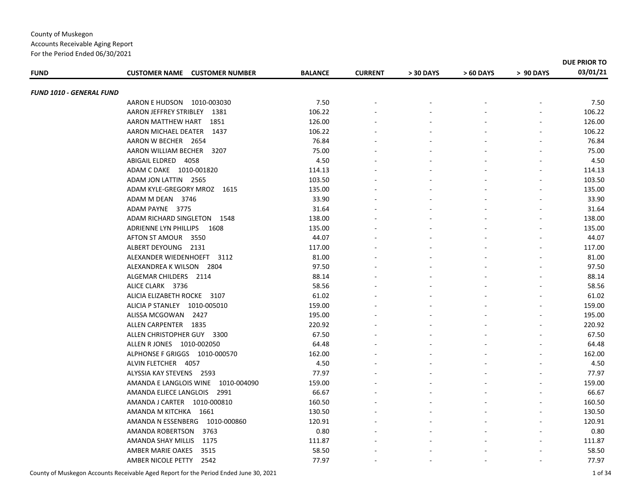|                                 |                                                |                |                |           |           |           | DUE PRIOR TO |
|---------------------------------|------------------------------------------------|----------------|----------------|-----------|-----------|-----------|--------------|
| <b>FUND</b>                     | <b>CUSTOMER NAME</b><br><b>CUSTOMER NUMBER</b> | <b>BALANCE</b> | <b>CURRENT</b> | > 30 DAYS | > 60 DAYS | > 90 DAYS | 03/01/21     |
| <b>FUND 1010 - GENERAL FUND</b> |                                                |                |                |           |           |           |              |
|                                 | AARON E HUDSON<br>1010-003030                  | 7.50           |                |           |           |           | 7.50         |
|                                 | AARON JEFFREY STRIBLEY 1381                    | 106.22         |                |           |           |           | 106.22       |
|                                 | AARON MATTHEW HART 1851                        | 126.00         |                |           |           |           | 126.00       |
|                                 | AARON MICHAEL DEATER 1437                      | 106.22         |                |           |           |           | 106.22       |
|                                 | AARON W BECHER 2654                            | 76.84          |                |           |           |           | 76.84        |
|                                 | AARON WILLIAM BECHER<br>3207                   | 75.00          |                |           |           |           | 75.00        |
|                                 | ABIGAIL ELDRED 4058                            | 4.50           |                |           |           |           | 4.50         |
|                                 | ADAM C DAKE 1010-001820                        | 114.13         |                |           |           |           | 114.13       |
|                                 | ADAM JON LATTIN 2565                           | 103.50         |                |           |           |           | 103.50       |
|                                 | ADAM KYLE-GREGORY MROZ<br>1615                 | 135.00         |                |           |           |           | 135.00       |
|                                 | ADAM M DEAN 3746                               | 33.90          |                |           |           |           | 33.90        |
|                                 | ADAM PAYNE 3775                                | 31.64          |                |           |           |           | 31.64        |
|                                 | ADAM RICHARD SINGLETON 1548                    | 138.00         |                |           |           |           | 138.00       |
|                                 | ADRIENNE LYN PHILLIPS<br>1608                  | 135.00         |                |           |           |           | 135.00       |
|                                 | AFTON ST AMOUR 3550                            | 44.07          |                |           |           |           | 44.07        |
|                                 | ALBERT DEYOUNG 2131                            | 117.00         |                |           |           |           | 117.00       |
|                                 | ALEXANDER WIEDENHOEFT 3112                     | 81.00          |                |           |           |           | 81.00        |
|                                 | ALEXANDREA K WILSON 2804                       | 97.50          |                |           |           |           | 97.50        |
|                                 | ALGEMAR CHILDERS 2114                          | 88.14          |                |           |           |           | 88.14        |
|                                 | ALICE CLARK 3736                               | 58.56          |                |           |           |           | 58.56        |
|                                 | ALICIA ELIZABETH ROCKE 3107                    | 61.02          |                |           |           |           | 61.02        |
|                                 | ALICIA P STANLEY 1010-005010                   | 159.00         |                |           |           |           | 159.00       |
|                                 | ALISSA MCGOWAN<br>2427                         | 195.00         |                |           |           |           | 195.00       |
|                                 | ALLEN CARPENTER 1835                           | 220.92         |                |           |           |           | 220.92       |
|                                 | ALLEN CHRISTOPHER GUY 3300                     | 67.50          |                |           |           |           | 67.50        |
|                                 | ALLEN R JONES 1010-002050                      | 64.48          |                |           |           |           | 64.48        |
|                                 | ALPHONSE F GRIGGS 1010-000570                  | 162.00         |                |           |           |           | 162.00       |
|                                 | ALVIN FLETCHER 4057                            | 4.50           |                |           |           |           | 4.50         |
|                                 | ALYSSIA KAY STEVENS 2593                       | 77.97          |                |           |           |           | 77.97        |
|                                 | AMANDA E LANGLOIS WINE<br>1010-004090          | 159.00         |                |           |           |           | 159.00       |
|                                 | AMANDA ELIECE LANGLOIS 2991                    | 66.67          |                |           |           |           | 66.67        |
|                                 | AMANDA J CARTER 1010-000810                    | 160.50         |                |           |           |           | 160.50       |
|                                 | AMANDA M KITCHKA 1661                          | 130.50         |                |           |           |           | 130.50       |
|                                 | AMANDA N ESSENBERG<br>1010-000860              | 120.91         |                |           |           |           | 120.91       |
|                                 | AMANDA ROBERTSON<br>3763                       | 0.80           |                |           |           |           | 0.80         |
|                                 | AMANDA SHAY MILLIS<br>1175                     | 111.87         |                |           |           |           | 111.87       |
|                                 | AMBER MARIE OAKES<br>3515                      | 58.50          |                |           |           |           | 58.50        |
|                                 | AMBER NICOLE PETTY<br>2542                     | 77.97          |                |           |           |           | 77.97        |
|                                 |                                                |                |                |           |           |           |              |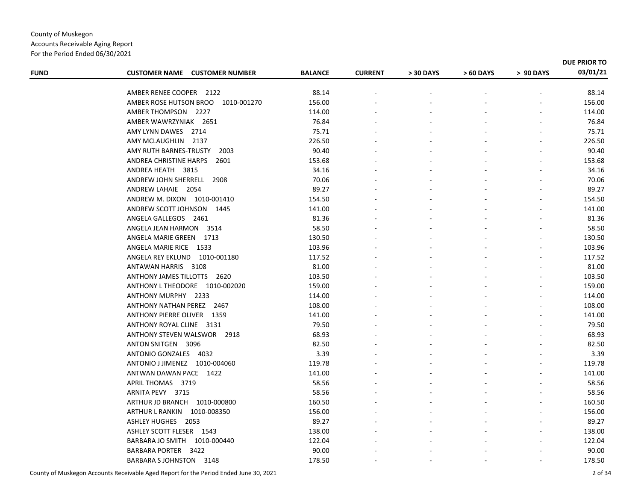| <b>FUND</b> | <b>CUSTOMER NAME CUSTOMER NUMBER</b> | <b>BALANCE</b> | <b>CURRENT</b> | > 30 DAYS | > 60 DAYS | > 90 DAYS | DUE PRIOR TO<br>03/01/21 |
|-------------|--------------------------------------|----------------|----------------|-----------|-----------|-----------|--------------------------|
|             | AMBER RENEE COOPER 2122              | 88.14          |                |           |           |           | 88.14                    |
|             | AMBER ROSE HUTSON BROO 1010-001270   | 156.00         |                |           |           |           | 156.00                   |
|             | AMBER THOMPSON 2227                  | 114.00         |                |           |           |           | 114.00                   |
|             | AMBER WAWRZYNIAK 2651                | 76.84          |                |           |           |           | 76.84                    |
|             | AMY LYNN DAWES 2714                  | 75.71          |                |           |           |           | 75.71                    |
|             | AMY MCLAUGHLIN 2137                  | 226.50         |                |           |           |           | 226.50                   |
|             | AMY RUTH BARNES-TRUSTY<br>2003       | 90.40          |                |           |           |           | 90.40                    |
|             | ANDREA CHRISTINE HARPS<br>2601       | 153.68         |                |           |           |           | 153.68                   |
|             | ANDREA HEATH 3815                    | 34.16          |                |           |           |           | 34.16                    |
|             | ANDREW JOHN SHERRELL<br>2908         | 70.06          |                |           |           |           | 70.06                    |
|             | ANDREW LAHAIE 2054                   | 89.27          |                |           |           |           | 89.27                    |
|             | ANDREW M. DIXON 1010-001410          | 154.50         |                |           |           |           | 154.50                   |
|             | ANDREW SCOTT JOHNSON 1445            | 141.00         |                |           |           |           | 141.00                   |
|             | ANGELA GALLEGOS 2461                 | 81.36          |                |           |           |           | 81.36                    |
|             | ANGELA JEAN HARMON 3514              | 58.50          |                |           |           |           | 58.50                    |
|             | ANGELA MARIE GREEN 1713              | 130.50         |                |           |           |           | 130.50                   |
|             | ANGELA MARIE RICE 1533               | 103.96         |                |           |           |           | 103.96                   |
|             | ANGELA REY EKLUND<br>1010-001180     | 117.52         |                |           |           |           | 117.52                   |
|             | ANTAWAN HARRIS 3108                  | 81.00          |                |           |           |           | 81.00                    |
|             | ANTHONY JAMES TILLOTTS 2620          | 103.50         |                |           |           |           | 103.50                   |
|             | ANTHONY L THEODORE 1010-002020       | 159.00         |                |           |           |           | 159.00                   |
|             | ANTHONY MURPHY 2233                  | 114.00         |                |           |           |           | 114.00                   |
|             | ANTHONY NATHAN PEREZ 2467            | 108.00         |                |           |           |           | 108.00                   |
|             | <b>ANTHONY PIERRE OLIVER 1359</b>    | 141.00         |                |           |           |           | 141.00                   |
|             | ANTHONY ROYAL CLINE 3131             | 79.50          |                |           |           |           | 79.50                    |
|             | ANTHONY STEVEN WALSWOR 2918          | 68.93          |                |           |           |           | 68.93                    |
|             | ANTON SNITGEN 3096                   | 82.50          |                |           |           |           | 82.50                    |
|             | ANTONIO GONZALES 4032                | 3.39           |                |           |           |           | 3.39                     |
|             | ANTONIO J JIMENEZ 1010-004060        | 119.78         |                |           |           |           | 119.78                   |
|             | ANTWAN DAWAN PACE 1422               | 141.00         |                |           |           |           | 141.00                   |
|             | APRIL THOMAS 3719                    | 58.56          |                |           |           |           | 58.56                    |
|             | ARNITA PEVY 3715                     | 58.56          |                |           |           |           | 58.56                    |
|             | ARTHUR JD BRANCH 1010-000800         | 160.50         |                |           |           |           | 160.50                   |
|             | ARTHUR L RANKIN<br>1010-008350       | 156.00         |                |           |           |           | 156.00                   |
|             | ASHLEY HUGHES 2053                   | 89.27          |                |           |           |           | 89.27                    |
|             | ASHLEY SCOTT FLESER 1543             | 138.00         |                |           |           |           | 138.00                   |
|             | BARBARA JO SMITH  1010-000440        | 122.04         |                |           |           |           | 122.04                   |
|             | BARBARA PORTER 3422                  | 90.00          |                |           |           |           | 90.00                    |
|             | BARBARA SJOHNSTON 3148               | 178.50         |                |           |           |           | 178.50                   |
|             |                                      |                |                |           |           |           |                          |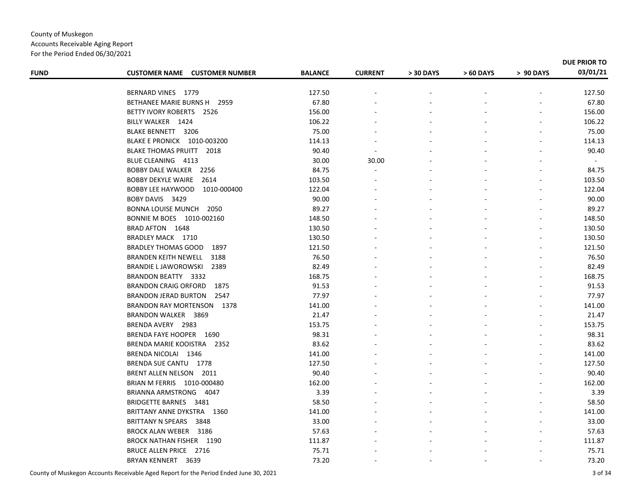| <b>FUND</b> | <b>CUSTOMER NAME</b><br><b>CUSTOMER NUMBER</b> | <b>BALANCE</b> | <b>CURRENT</b> | > 30 DAYS | > 60 DAYS | > 90 DAYS | DUE PRIOR TO<br>03/01/21 |
|-------------|------------------------------------------------|----------------|----------------|-----------|-----------|-----------|--------------------------|
|             |                                                |                |                |           |           |           |                          |
|             | BERNARD VINES 1779                             | 127.50         |                |           |           |           | 127.50                   |
|             | BETHANEE MARIE BURNS H 2959                    | 67.80          |                |           |           |           | 67.80                    |
|             | BETTY IVORY ROBERTS 2526                       | 156.00         |                |           |           |           | 156.00                   |
|             | BILLY WALKER 1424                              | 106.22         |                |           |           |           | 106.22                   |
|             | <b>BLAKE BENNETT 3206</b>                      | 75.00          |                |           |           |           | 75.00                    |
|             | BLAKE E PRONICK 1010-003200                    | 114.13         |                |           |           |           | 114.13                   |
|             | <b>BLAKE THOMAS PRUITT</b><br>2018             | 90.40          | $\sim$         |           |           |           | 90.40                    |
|             | BLUE CLEANING 4113                             | 30.00          | 30.00          |           |           |           | $\sim$                   |
|             | BOBBY DALE WALKER 2256                         | 84.75          |                |           |           |           | 84.75                    |
|             | <b>BOBBY DEKYLE WAIRE</b><br>2614              | 103.50         |                |           |           |           | 103.50                   |
|             | BOBBY LEE HAYWOOD<br>1010-000400               | 122.04         |                |           |           |           | 122.04                   |
|             | BOBY DAVIS 3429                                | 90.00          |                |           |           |           | 90.00                    |
|             | BONNA LOUISE MUNCH 2050                        | 89.27          |                |           |           |           | 89.27                    |
|             | BONNIE M BOES 1010-002160                      | 148.50         |                |           |           |           | 148.50                   |
|             | BRAD AFTON 1648                                | 130.50         |                |           |           |           | 130.50                   |
|             | BRADLEY MACK 1710                              | 130.50         |                |           |           |           | 130.50                   |
|             | <b>BRADLEY THOMAS GOOD</b><br>1897             | 121.50         |                |           |           |           | 121.50                   |
|             | <b>BRANDEN KEITH NEWELL</b><br>3188            | 76.50          |                |           |           |           | 76.50                    |
|             | BRANDIE L JAWOROWSKI<br>2389                   | 82.49          |                |           |           |           | 82.49                    |
|             | BRANDON BEATTY 3332                            | 168.75         |                |           |           |           | 168.75                   |
|             | <b>BRANDON CRAIG ORFORD</b><br>1875            | 91.53          |                |           |           |           | 91.53                    |
|             | <b>BRANDON JERAD BURTON</b><br>2547            | 77.97          |                |           |           |           | 77.97                    |
|             | BRANDON RAY MORTENSON 1378                     | 141.00         |                |           |           |           | 141.00                   |
|             | BRANDON WALKER 3869                            | 21.47          |                |           |           |           | 21.47                    |
|             | BRENDA AVERY 2983                              | 153.75         |                |           |           |           | 153.75                   |
|             | BRENDA FAYE HOOPER 1690                        | 98.31          |                |           |           |           | 98.31                    |
|             | BRENDA MARIE KOOISTRA 2352                     | 83.62          |                |           |           |           | 83.62                    |
|             | BRENDA NICOLAI 1346                            | 141.00         |                |           |           |           | 141.00                   |
|             | BRENDA SUE CANTU 1778                          | 127.50         |                |           |           |           | 127.50                   |
|             | BRENT ALLEN NELSON 2011                        | 90.40          |                |           |           |           | 90.40                    |
|             | BRIAN M FERRIS 1010-000480                     | 162.00         |                |           |           |           | 162.00                   |
|             | BRIANNA ARMSTRONG 4047                         | 3.39           |                |           |           |           | 3.39                     |
|             | BRIDGETTE BARNES 3481                          | 58.50          |                |           |           |           | 58.50                    |
|             | BRITTANY ANNE DYKSTRA 1360                     | 141.00         |                |           |           |           | 141.00                   |
|             | <b>BRITTANY N SPEARS</b><br>3848               | 33.00          |                |           |           |           | 33.00                    |
|             | BROCK ALAN WEBER 3186                          | 57.63          |                |           |           |           | 57.63                    |
|             | BROCK NATHAN FISHER 1190                       | 111.87         |                |           |           |           | 111.87                   |
|             | <b>BRUCE ALLEN PRICE 2716</b>                  | 75.71          |                |           |           |           | 75.71                    |
|             | <b>BRYAN KENNERT 3639</b>                      | 73.20          |                |           |           |           | 73.20                    |
|             |                                                |                |                |           |           |           |                          |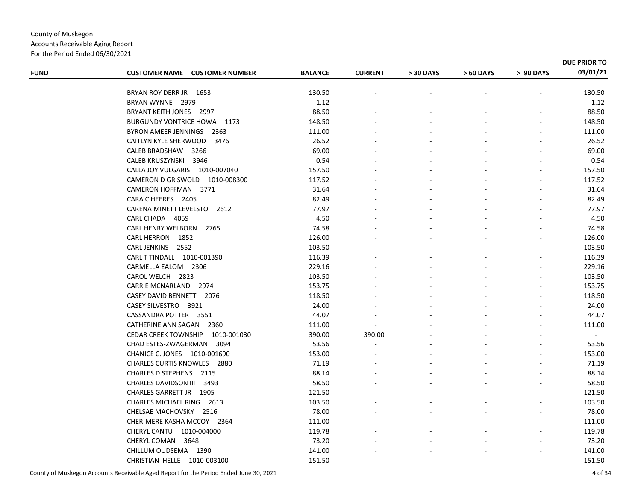| <b>FUND</b> | <b>CUSTOMER NAME CUSTOMER NUMBER</b> | <b>BALANCE</b> | <b>CURRENT</b> | > 30 DAYS | > 60 DAYS | > 90 DAYS | DUE PRIOR TO<br>03/01/21 |
|-------------|--------------------------------------|----------------|----------------|-----------|-----------|-----------|--------------------------|
|             |                                      |                |                |           |           |           |                          |
|             | BRYAN ROY DERR JR 1653               | 130.50         |                |           |           |           | 130.50                   |
|             | BRYAN WYNNE 2979                     | 1.12           |                |           |           |           | 1.12                     |
|             | BRYANT KEITH JONES 2997              | 88.50          |                |           |           |           | 88.50                    |
|             | <b>BURGUNDY VONTRICE HOWA 1173</b>   | 148.50         |                |           |           |           | 148.50                   |
|             | BYRON AMEER JENNINGS 2363            | 111.00         |                |           |           |           | 111.00                   |
|             | CAITLYN KYLE SHERWOOD<br>3476        | 26.52          |                |           |           |           | 26.52                    |
|             | 3266<br>CALEB BRADSHAW               | 69.00          |                |           |           |           | 69.00                    |
|             | <b>CALEB KRUSZYNSKI</b><br>3946      | 0.54           |                |           |           |           | 0.54                     |
|             | CALLA JOY VULGARIS 1010-007040       | 157.50         |                |           |           |           | 157.50                   |
|             | CAMERON D GRISWOLD 1010-008300       | 117.52         |                |           |           |           | 117.52                   |
|             | CAMERON HOFFMAN 3771                 | 31.64          |                |           |           |           | 31.64                    |
|             | CARA C HEERES 2405                   | 82.49          |                |           |           |           | 82.49                    |
|             | CARENA MINETT LEVELSTO 2612          | 77.97          |                |           |           |           | 77.97                    |
|             | CARL CHADA 4059                      | 4.50           |                |           |           |           | 4.50                     |
|             | <b>CARL HENRY WELBORN</b><br>2765    | 74.58          |                |           |           |           | 74.58                    |
|             | <b>CARL HERRON</b><br>1852           | 126.00         |                |           |           |           | 126.00                   |
|             | CARL JENKINS 2552                    | 103.50         |                |           |           |           | 103.50                   |
|             | CARL T TINDALL 1010-001390           | 116.39         |                |           |           |           | 116.39                   |
|             | CARMELLA EALOM 2306                  | 229.16         |                |           |           |           | 229.16                   |
|             | CAROL WELCH 2823                     | 103.50         |                |           |           |           | 103.50                   |
|             | CARRIE MCNARLAND 2974                | 153.75         |                |           |           |           | 153.75                   |
|             | CASEY DAVID BENNETT 2076             | 118.50         |                |           |           |           | 118.50                   |
|             | CASEY SILVESTRO 3921                 | 24.00          |                |           |           |           | 24.00                    |
|             | CASSANDRA POTTER 3551                | 44.07          |                |           |           |           | 44.07                    |
|             | CATHERINE ANN SAGAN 2360             | 111.00         |                |           |           |           | 111.00                   |
|             | CEDAR CREEK TOWNSHIP 1010-001030     | 390.00         | 390.00         |           |           |           | $\mathbf{u}$             |
|             | CHAD ESTES-ZWAGERMAN 3094            | 53.56          |                |           |           |           | 53.56                    |
|             | CHANICE C. JONES 1010-001690         | 153.00         |                |           |           |           | 153.00                   |
|             | <b>CHARLES CURTIS KNOWLES 2880</b>   | 71.19          |                |           |           |           | 71.19                    |
|             | CHARLES D STEPHENS 2115              | 88.14          |                |           |           |           | 88.14                    |
|             | CHARLES DAVIDSON III<br>3493         | 58.50          |                |           |           |           | 58.50                    |
|             | CHARLES GARRETT JR 1905              | 121.50         |                |           |           |           | 121.50                   |
|             | CHARLES MICHAEL RING 2613            | 103.50         |                |           |           |           | 103.50                   |
|             | CHELSAE MACHOVSKY 2516               | 78.00          |                |           |           |           | 78.00                    |
|             | CHER-MERE KASHA MCCOY 2364           | 111.00         |                |           |           |           | 111.00                   |
|             | CHERYL CANTU 1010-004000             | 119.78         |                |           |           |           | 119.78                   |
|             | CHERYL COMAN 3648                    | 73.20          |                |           |           |           | 73.20                    |
|             | CHILLUM OUDSEMA 1390                 | 141.00         |                |           |           |           | 141.00                   |
|             | CHRISTIAN HELLE 1010-003100          | 151.50         |                |           |           |           | 151.50                   |
|             |                                      |                |                |           |           |           |                          |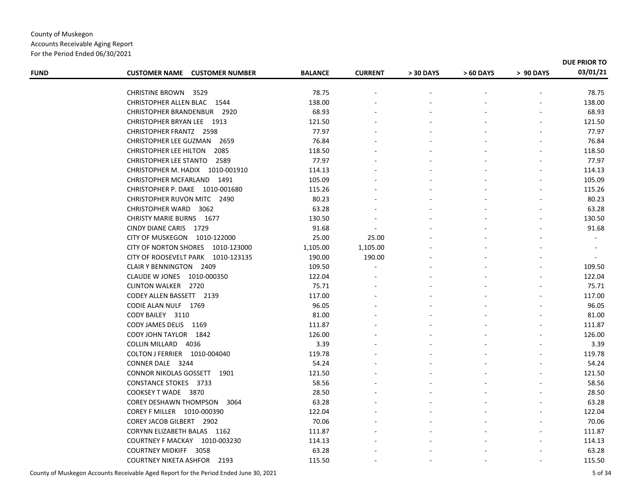For the Period Ended 06/30/2021

| <b>FUND</b> | <b>CUSTOMER NAME CUSTOMER NUMBER</b>  | <b>BALANCE</b> | <b>CURRENT</b> | > 30 DAYS | > 60 DAYS | > 90 DAYS | DUE PRIOR TO<br>03/01/21 |
|-------------|---------------------------------------|----------------|----------------|-----------|-----------|-----------|--------------------------|
|             |                                       |                |                |           |           |           |                          |
|             | <b>CHRISTINE BROWN 3529</b>           | 78.75          |                |           |           |           | 78.75                    |
|             | CHRISTOPHER ALLEN BLAC 1544           | 138.00         |                |           |           |           | 138.00                   |
|             | CHRISTOPHER BRANDENBUR 2920           | 68.93          |                |           |           |           | 68.93                    |
|             | CHRISTOPHER BRYAN LEE 1913            | 121.50         |                |           |           |           | 121.50                   |
|             | <b>CHRISTOPHER FRANTZ 2598</b>        | 77.97          |                |           |           |           | 77.97                    |
|             | CHRISTOPHER LEE GUZMAN<br>2659        | 76.84          |                |           |           |           | 76.84                    |
|             | 2085<br><b>CHRISTOPHER LEE HILTON</b> | 118.50         |                |           |           |           | 118.50                   |
|             | 2589<br><b>CHRISTOPHER LEE STANTO</b> | 77.97          |                |           |           |           | 77.97                    |
|             | CHRISTOPHER M. HADIX 1010-001910      | 114.13         |                |           |           |           | 114.13                   |
|             | CHRISTOPHER MCFARLAND 1491            | 105.09         |                |           |           |           | 105.09                   |
|             | CHRISTOPHER P. DAKE 1010-001680       | 115.26         |                |           |           |           | 115.26                   |
|             | CHRISTOPHER RUVON MITC 2490           | 80.23          |                |           |           |           | 80.23                    |
|             | CHRISTOPHER WARD 3062                 | 63.28          |                |           |           |           | 63.28                    |
|             | <b>CHRISTY MARIE BURNS 1677</b>       | 130.50         |                |           |           |           | 130.50                   |
|             | CINDY DIANE CARIS 1729                | 91.68          |                |           |           |           | 91.68                    |
|             | CITY OF MUSKEGON 1010-122000          | 25.00          | 25.00          |           |           |           | $\blacksquare$           |
|             | CITY OF NORTON SHORES 1010-123000     | 1,105.00       | 1,105.00       |           |           |           |                          |
|             | CITY OF ROOSEVELT PARK 1010-123135    | 190.00         | 190.00         |           |           |           |                          |
|             | CLAIR Y BENNINGTON 2409               | 109.50         |                |           |           |           | 109.50                   |
|             | CLAUDE W JONES 1010-000350            | 122.04         |                |           |           |           | 122.04                   |
|             | <b>CLINTON WALKER 2720</b>            | 75.71          |                |           |           |           | 75.71                    |
|             | CODEY ALLEN BASSETT 2139              | 117.00         |                |           |           |           | 117.00                   |
|             | CODIE ALAN NULF 1769                  | 96.05          |                |           |           |           | 96.05                    |
|             | CODY BAILEY 3110                      | 81.00          |                |           |           |           | 81.00                    |
|             | CODY JAMES DELIS 1169                 | 111.87         |                |           |           |           | 111.87                   |
|             | CODY JOHN TAYLOR 1842                 | 126.00         |                |           |           |           | 126.00                   |
|             | COLLIN MILLARD 4036                   | 3.39           |                |           |           |           | 3.39                     |
|             | COLTON J FERRIER 1010-004040          | 119.78         |                |           |           |           | 119.78                   |
|             | CONNER DALE 3244                      | 54.24          |                |           |           |           | 54.24                    |
|             | <b>CONNOR NIKOLAS GOSSETT 1901</b>    | 121.50         |                |           |           |           | 121.50                   |
|             | <b>CONSTANCE STOKES 3733</b>          | 58.56          |                |           |           |           | 58.56                    |
|             | COOKSEY T WADE 3870                   | 28.50          |                |           |           |           | 28.50                    |
|             | COREY DESHAWN THOMPSON<br>3064        | 63.28          |                |           |           |           | 63.28                    |
|             | COREY F MILLER  1010-000390           | 122.04         |                |           |           |           | 122.04                   |
|             | COREY JACOB GILBERT 2902              | 70.06          |                |           |           |           | 70.06                    |
|             | CORYNN ELIZABETH BALAS 1162           | 111.87         |                |           |           |           | 111.87                   |
|             | COURTNEY F MACKAY 1010-003230         | 114.13         |                |           |           |           | 114.13                   |
|             | <b>COURTNEY MIDKIFF</b><br>3058       | 63.28          |                |           |           |           | 63.28                    |
|             | <b>COURTNEY NIKETA ASHFOR 2193</b>    | 115.50         |                |           |           |           | 115.50                   |
|             |                                       |                |                |           |           |           |                          |

County of Muskegon Accounts Receivable Aged Report for the Period Ended June 30, 2021 5 of 34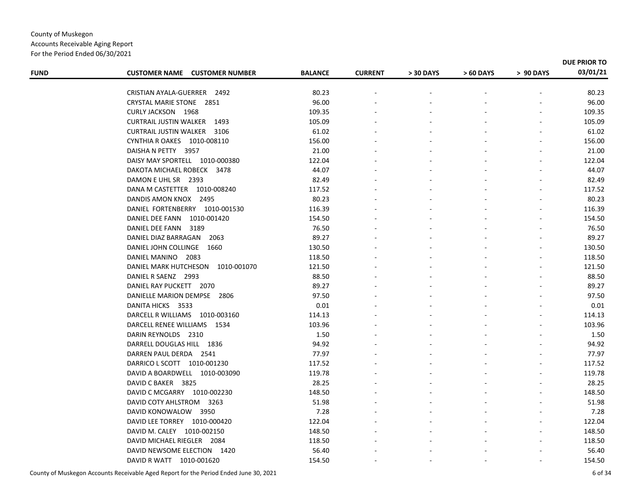#### County of Muskegon Accounts Receivable Aging Report For the Period Ended 06/30/2021

| <b>FUND</b> | <b>CUSTOMER NAME CUSTOMER NUMBER</b>                           | <b>BALANCE</b>  | <b>CURRENT</b> | > 30 DAYS | > 60 DAYS | > 90 DAYS | <b>DUE PRIOR TO</b><br>03/01/21 |
|-------------|----------------------------------------------------------------|-----------------|----------------|-----------|-----------|-----------|---------------------------------|
|             |                                                                |                 |                |           |           |           |                                 |
|             | CRISTIAN AYALA-GUERRER 2492<br><b>CRYSTAL MARIE STONE 2851</b> | 80.23<br>96.00  |                |           |           |           | 80.23<br>96.00                  |
|             | <b>CURLY JACKSON 1968</b>                                      | 109.35          |                |           |           |           | 109.35                          |
|             | <b>CURTRAIL JUSTIN WALKER 1493</b>                             | 105.09          |                |           |           |           | 105.09                          |
|             | <b>CURTRAIL JUSTIN WALKER 3106</b>                             | 61.02           |                |           |           |           | 61.02                           |
|             | CYNTHIA R OAKES 1010-008110                                    | 156.00          |                |           |           |           |                                 |
|             | DAISHA N PETTY 3957                                            |                 |                |           |           |           | 156.00<br>21.00                 |
|             |                                                                | 21.00<br>122.04 |                |           |           |           | 122.04                          |
|             | DAISY MAY SPORTELL 1010-000380                                 |                 |                |           |           |           |                                 |
|             | DAKOTA MICHAEL ROBECK 3478                                     | 44.07           |                |           |           |           | 44.07                           |
|             | DAMON E UHL SR 2393                                            | 82.49           |                |           |           |           | 82.49                           |
|             | DANA M CASTETTER 1010-008240                                   | 117.52          |                |           |           |           | 117.52                          |
|             | DANDIS AMON KNOX 2495                                          | 80.23           |                |           |           |           | 80.23                           |
|             | DANIEL FORTENBERRY 1010-001530                                 | 116.39          |                |           |           |           | 116.39                          |
|             | DANIEL DEE FANN 1010-001420                                    | 154.50          |                |           |           |           | 154.50                          |
|             | DANIEL DEE FANN<br>3189                                        | 76.50           |                |           |           |           | 76.50                           |
|             | DANIEL DIAZ BARRAGAN 2063                                      | 89.27           |                |           |           |           | 89.27                           |
|             | DANIEL JOHN COLLINGE 1660                                      | 130.50          |                |           |           |           | 130.50                          |
|             | DANIEL MANINO 2083                                             | 118.50          |                |           |           |           | 118.50                          |
|             | DANIEL MARK HUTCHESON 1010-001070                              | 121.50          |                |           |           |           | 121.50                          |
|             | DANIEL R SAENZ 2993                                            | 88.50           |                |           |           |           | 88.50                           |
|             | DANIEL RAY PUCKETT 2070                                        | 89.27           |                |           |           |           | 89.27                           |
|             | DANIELLE MARION DEMPSE 2806                                    | 97.50           |                |           |           |           | 97.50                           |
|             | DANITA HICKS 3533                                              | 0.01            |                |           |           |           | 0.01                            |
|             | DARCELL R WILLIAMS 1010-003160                                 | 114.13          |                |           |           |           | 114.13                          |
|             | DARCELL RENEE WILLIAMS 1534                                    | 103.96          |                |           |           |           | 103.96                          |
|             | DARIN REYNOLDS 2310                                            | 1.50            |                |           |           |           | 1.50                            |
|             | DARRELL DOUGLAS HILL 1836                                      | 94.92           |                |           |           |           | 94.92                           |
|             | DARREN PAUL DERDA 2541                                         | 77.97           |                |           |           |           | 77.97                           |
|             | DARRICO L SCOTT 1010-001230                                    | 117.52          |                |           |           |           | 117.52                          |
|             | DAVID A BOARDWELL 1010-003090                                  | 119.78          |                |           |           |           | 119.78                          |
|             | DAVID C BAKER 3825                                             | 28.25           |                |           |           |           | 28.25                           |
|             | DAVID C MCGARRY 1010-002230                                    | 148.50          |                |           |           |           | 148.50                          |
|             | DAVID COTY AHLSTROM 3263                                       | 51.98           |                |           |           |           | 51.98                           |
|             | DAVID KONOWALOW 3950                                           | 7.28            |                |           |           |           | 7.28                            |
|             | DAVID LEE TORREY 1010-000420                                   | 122.04          |                |           |           |           | 122.04                          |
|             | DAVID M. CALEY 1010-002150                                     | 148.50          |                |           |           |           | 148.50                          |
|             | DAVID MICHAEL RIEGLER 2084                                     | 118.50          |                |           |           |           | 118.50                          |
|             | DAVID NEWSOME ELECTION 1420                                    | 56.40           |                |           |           |           | 56.40                           |
|             | DAVID R WATT 1010-001620                                       | 154.50          |                |           |           |           | 154.50                          |
|             |                                                                |                 |                |           |           |           |                                 |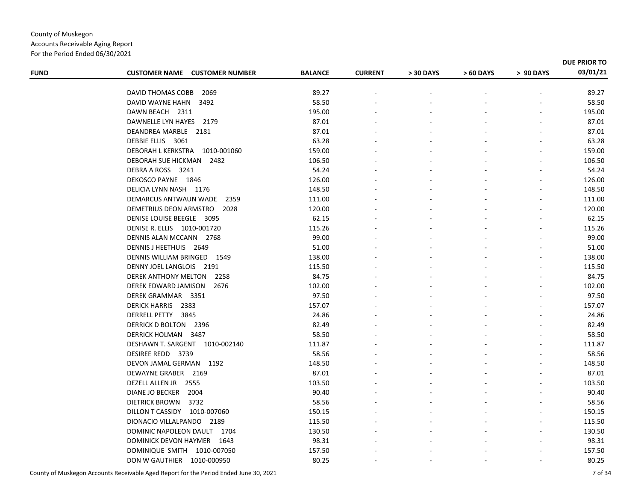Accounts Receivable Aging Report For the Period Ended 06/30/2021

| <b>FUND</b> | <b>CUSTOMER NAME CUSTOMER NUMBER</b> | <b>BALANCE</b> | <b>CURRENT</b> | > 30 DAYS | > 60 DAYS | > 90 DAYS | DUE PRIOR TO<br>03/01/21 |
|-------------|--------------------------------------|----------------|----------------|-----------|-----------|-----------|--------------------------|
|             |                                      |                |                |           |           |           |                          |
|             | 2069<br>DAVID THOMAS COBB            | 89.27          |                |           |           |           | 89.27                    |
|             | DAVID WAYNE HAHN<br>3492             | 58.50          |                |           |           |           | 58.50                    |
|             | DAWN BEACH 2311                      | 195.00         |                |           |           |           | 195.00                   |
|             | DAWNELLE LYN HAYES 2179              | 87.01          |                |           |           |           | 87.01                    |
|             | DEANDREA MARBLE 2181                 | 87.01          |                |           |           |           | 87.01                    |
|             | DEBBIE ELLIS 3061                    | 63.28          |                |           |           |           | 63.28                    |
|             | DEBORAH L KERKSTRA 1010-001060       | 159.00         |                |           |           |           | 159.00                   |
|             | DEBORAH SUE HICKMAN 2482             | 106.50         |                |           |           |           | 106.50                   |
|             | DEBRA A ROSS 3241                    | 54.24          |                |           |           |           | 54.24                    |
|             | DEKOSCO PAYNE 1846                   | 126.00         |                |           |           |           | 126.00                   |
|             | DELICIA LYNN NASH 1176               | 148.50         |                |           |           |           | 148.50                   |
|             | DEMARCUS ANTWAUN WADE 2359           | 111.00         |                |           |           |           | 111.00                   |
|             | DEMETRIUS DEON ARMSTRO<br>2028       | 120.00         |                |           |           |           | 120.00                   |
|             | DENISE LOUISE BEEGLE 3095            | 62.15          |                |           |           |           | 62.15                    |
|             | DENISE R. ELLIS 1010-001720          | 115.26         |                |           |           |           | 115.26                   |
|             | DENNIS ALAN MCCANN 2768              | 99.00          |                |           |           |           | 99.00                    |
|             | DENNIS J HEETHUIS 2649               | 51.00          |                |           |           |           | 51.00                    |
|             | DENNIS WILLIAM BRINGED 1549          | 138.00         |                |           |           |           | 138.00                   |
|             | DENNY JOEL LANGLOIS 2191             | 115.50         |                |           |           |           | 115.50                   |
|             | DEREK ANTHONY MELTON<br>2258         | 84.75          |                |           |           |           | 84.75                    |
|             | DEREK EDWARD JAMISON<br>2676         | 102.00         |                |           |           |           | 102.00                   |
|             | DEREK GRAMMAR 3351                   | 97.50          |                |           |           |           | 97.50                    |
|             | DERICK HARRIS 2383                   | 157.07         |                |           |           |           | 157.07                   |
|             | DERRELL PETTY 3845                   | 24.86          |                |           |           |           | 24.86                    |
|             | DERRICK D BOLTON 2396                | 82.49          |                |           |           |           | 82.49                    |
|             | DERRICK HOLMAN 3487                  | 58.50          |                |           |           |           | 58.50                    |
|             | DESHAWN T. SARGENT 1010-002140       | 111.87         |                |           |           |           | 111.87                   |
|             | DESIREE REDD 3739                    | 58.56          |                |           |           |           | 58.56                    |
|             | DEVON JAMAL GERMAN 1192              | 148.50         |                |           |           |           | 148.50                   |
|             | DEWAYNE GRABER 2169                  | 87.01          |                |           |           |           | 87.01                    |
|             | DEZELL ALLEN JR 2555                 | 103.50         |                |           |           |           | 103.50                   |
|             | DIANE JO BECKER<br>2004              | 90.40          |                |           |           |           | 90.40                    |
|             | DIETRICK BROWN<br>3732               | 58.56          |                |           |           |           | 58.56                    |
|             | DILLON T CASSIDY 1010-007060         | 150.15         |                |           |           |           | 150.15                   |
|             | DIONACIO VILLALPANDO 2189            | 115.50         |                |           |           |           | 115.50                   |
|             | DOMINIC NAPOLEON DAULT 1704          | 130.50         |                |           |           |           | 130.50                   |
|             | DOMINICK DEVON HAYMER 1643           | 98.31          |                |           |           |           | 98.31                    |
|             | DOMINIQUE SMITH 1010-007050          | 157.50         |                |           |           |           | 157.50                   |
|             | DON W GAUTHIER  1010-000950          | 80.25          |                |           |           |           | 80.25                    |
|             |                                      |                |                |           |           |           |                          |

County of Muskegon Accounts Receivable Aged Report for the Period Ended June 30, 2021 7 of 34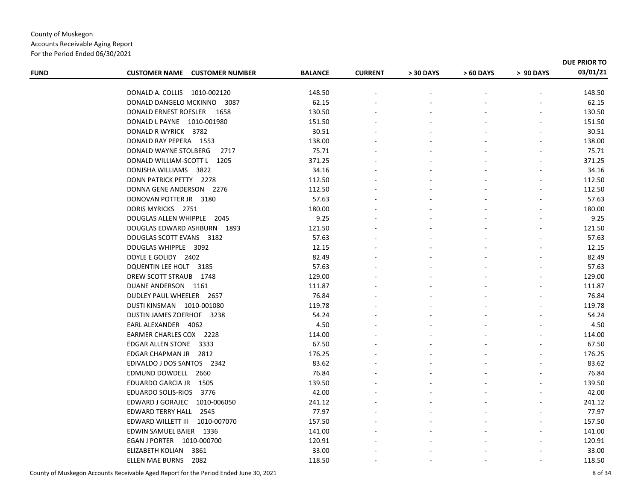For the Period Ended 06/30/2021

| <b>FUND</b> | <b>CUSTOMER NAME CUSTOMER NUMBER</b> | <b>BALANCE</b> | <b>CURRENT</b> | > 30 DAYS | > 60 DAYS | > 90 DAYS | DUE PRIOR TO<br>03/01/21 |
|-------------|--------------------------------------|----------------|----------------|-----------|-----------|-----------|--------------------------|
|             |                                      |                |                |           |           |           |                          |
|             | DONALD A. COLLIS 1010-002120         | 148.50         |                |           |           |           | 148.50                   |
|             | DONALD DANGELO MCKINNO<br>3087       | 62.15          |                |           |           |           | 62.15                    |
|             | DONALD ERNEST ROESLER 1658           | 130.50         |                |           |           |           | 130.50                   |
|             | DONALD L PAYNE 1010-001980           | 151.50         |                |           |           |           | 151.50                   |
|             | DONALD R WYRICK 3782                 | 30.51          |                |           |           |           | 30.51                    |
|             | DONALD RAY PEPERA 1553               | 138.00         |                |           |           |           | 138.00                   |
|             | DONALD WAYNE STOLBERG<br>2717        | 75.71          |                |           |           |           | 75.71                    |
|             | DONALD WILLIAM-SCOTT L 1205          | 371.25         |                |           |           |           | 371.25                   |
|             | DONJSHA WILLIAMS 3822                | 34.16          |                |           |           |           | 34.16                    |
|             | DONN PATRICK PETTY 2278              | 112.50         |                |           |           |           | 112.50                   |
|             | DONNA GENE ANDERSON 2276             | 112.50         |                |           |           |           | 112.50                   |
|             | DONOVAN POTTER JR 3180               | 57.63          |                |           |           |           | 57.63                    |
|             | DORIS MYRICKS 2751                   | 180.00         |                |           |           |           | 180.00                   |
|             | DOUGLAS ALLEN WHIPPLE 2045           | 9.25           |                |           |           |           | 9.25                     |
|             | DOUGLAS EDWARD ASHBURN 1893          | 121.50         |                |           |           |           | 121.50                   |
|             | DOUGLAS SCOTT EVANS 3182             | 57.63          |                |           |           |           | 57.63                    |
|             | DOUGLAS WHIPPLE 3092                 | 12.15          |                |           |           |           | 12.15                    |
|             | DOYLE E GOLIDY 2402                  | 82.49          |                |           |           |           | 82.49                    |
|             | DQUENTIN LEE HOLT 3185               | 57.63          |                |           |           |           | 57.63                    |
|             | DREW SCOTT STRAUB 1748               | 129.00         |                |           |           |           | 129.00                   |
|             | DUANE ANDERSON 1161                  | 111.87         |                |           |           |           | 111.87                   |
|             | DUDLEY PAUL WHEELER 2657             | 76.84          |                |           |           |           | 76.84                    |
|             | DUSTI KINSMAN 1010-001080            | 119.78         |                |           |           |           | 119.78                   |
|             | DUSTIN JAMES ZOERHOF 3238            | 54.24          |                |           |           |           | 54.24                    |
|             | EARL ALEXANDER 4062                  | 4.50           |                |           |           |           | 4.50                     |
|             | EARMER CHARLES COX 2228              | 114.00         |                |           |           |           | 114.00                   |
|             | EDGAR ALLEN STONE 3333               | 67.50          |                |           |           |           | 67.50                    |
|             | EDGAR CHAPMAN JR 2812                | 176.25         |                |           |           |           | 176.25                   |
|             | EDIVALDO J DOS SANTOS 2342           | 83.62          |                |           |           |           | 83.62                    |
|             | EDMUND DOWDELL 2660                  | 76.84          |                |           |           |           | 76.84                    |
|             | EDUARDO GARCIA JR 1505               | 139.50         |                |           |           |           | 139.50                   |
|             | EDUARDO SOLIS-RIOS 3776              | 42.00          |                |           |           |           | 42.00                    |
|             | EDWARD J GORAJEC 1010-006050         | 241.12         |                |           |           |           | 241.12                   |
|             | EDWARD TERRY HALL 2545               | 77.97          |                |           |           |           | 77.97                    |
|             | EDWARD WILLETT III 1010-007070       | 157.50         |                |           |           |           | 157.50                   |
|             | EDWIN SAMUEL BAIER 1336              | 141.00         |                |           |           |           | 141.00                   |
|             | EGAN J PORTER 1010-000700            | 120.91         |                |           |           |           | 120.91                   |
|             | ELIZABETH KOLIAN<br>3861             | 33.00          |                |           |           |           | 33.00                    |
|             | ELLEN MAE BURNS<br>2082              | 118.50         |                |           |           |           | 118.50                   |
|             |                                      |                |                |           |           |           |                          |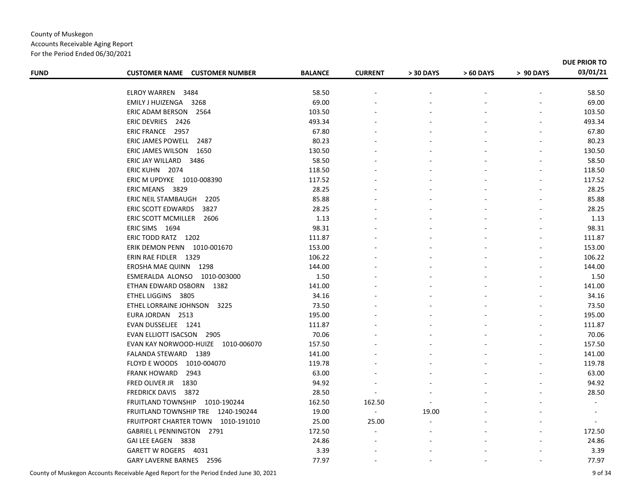For the Period Ended 06/30/2021

| <b>FUND</b> | <b>CUSTOMER NAME CUSTOMER NUMBER</b> | <b>BALANCE</b> | <b>CURRENT</b>           | > 30 DAYS | > 60 DAYS | > 90 DAYS | <b>DUE PRIOR TO</b><br>03/01/21 |
|-------------|--------------------------------------|----------------|--------------------------|-----------|-----------|-----------|---------------------------------|
|             |                                      |                |                          |           |           |           |                                 |
|             | ELROY WARREN 3484                    | 58.50          |                          |           |           |           | 58.50                           |
|             | EMILY J HUIZENGA 3268                | 69.00          |                          |           |           |           | 69.00                           |
|             | ERIC ADAM BERSON 2564                | 103.50         |                          |           |           |           | 103.50                          |
|             | ERIC DEVRIES 2426                    | 493.34         |                          |           |           |           | 493.34                          |
|             | ERIC FRANCE 2957                     | 67.80          |                          |           |           |           | 67.80                           |
|             | ERIC JAMES POWELL 2487               | 80.23          |                          |           |           |           | 80.23                           |
|             | ERIC JAMES WILSON 1650               | 130.50         |                          |           |           |           | 130.50                          |
|             | ERIC JAY WILLARD 3486                | 58.50          |                          |           |           |           | 58.50                           |
|             | ERIC KUHN 2074                       | 118.50         |                          |           |           |           | 118.50                          |
|             | ERIC M UPDYKE 1010-008390            | 117.52         |                          |           |           |           | 117.52                          |
|             | ERIC MEANS 3829                      | 28.25          |                          |           |           |           | 28.25                           |
|             | ERIC NEIL STAMBAUGH<br>2205          | 85.88          |                          |           |           |           | 85.88                           |
|             | ERIC SCOTT EDWARDS<br>3827           | 28.25          |                          |           |           |           | 28.25                           |
|             | ERIC SCOTT MCMILLER 2606             | 1.13           |                          |           |           |           | 1.13                            |
|             | ERIC SIMS 1694                       | 98.31          |                          |           |           |           | 98.31                           |
|             | ERIC TODD RATZ 1202                  | 111.87         |                          |           |           |           | 111.87                          |
|             | ERIK DEMON PENN 1010-001670          | 153.00         |                          |           |           |           | 153.00                          |
|             | ERIN RAE FIDLER 1329                 | 106.22         |                          |           |           |           | 106.22                          |
|             | EROSHA MAE QUINN 1298                | 144.00         |                          |           |           |           | 144.00                          |
|             | ESMERALDA ALONSO 1010-003000         | 1.50           |                          |           |           |           | 1.50                            |
|             | ETHAN EDWARD OSBORN 1382             | 141.00         |                          |           |           |           | 141.00                          |
|             | ETHEL LIGGINS 3805                   | 34.16          |                          |           |           |           | 34.16                           |
|             | ETHEL LORRAINE JOHNSON<br>3225       | 73.50          |                          |           |           |           | 73.50                           |
|             | EURA JORDAN 2513                     | 195.00         |                          |           |           |           | 195.00                          |
|             | EVAN DUSSELJEE 1241                  | 111.87         |                          |           |           |           | 111.87                          |
|             | <b>EVAN ELLIOTT ISACSON 2905</b>     | 70.06          |                          |           |           |           | 70.06                           |
|             | EVAN KAY NORWOOD-HUIZE 1010-006070   | 157.50         |                          |           |           |           | 157.50                          |
|             | FALANDA STEWARD 1389                 | 141.00         |                          |           |           |           | 141.00                          |
|             | FLOYD E WOODS 1010-004070            | 119.78         |                          |           |           |           | 119.78                          |
|             | <b>FRANK HOWARD</b><br>2943          | 63.00          |                          |           |           |           | 63.00                           |
|             | FRED OLIVER JR<br>1830               | 94.92          |                          |           |           |           | 94.92                           |
|             | <b>FREDRICK DAVIS</b><br>3872        | 28.50          |                          |           |           |           | 28.50                           |
|             | FRUITLAND TOWNSHIP 1010-190244       | 162.50         | 162.50                   |           |           |           | $\sim$                          |
|             | FRUITLAND TOWNSHIP TRE 1240-190244   | 19.00          | $\overline{\phantom{a}}$ | 19.00     |           |           |                                 |
|             | FRUITPORT CHARTER TOWN 1010-191010   | 25.00          | 25.00                    |           |           |           |                                 |
|             | GABRIEL L PENNINGTON 2791            | 172.50         |                          |           |           |           | 172.50                          |
|             | GAI LEE EAGEN 3838                   | 24.86          |                          |           |           |           | 24.86                           |
|             | GARETT W ROGERS 4031                 | 3.39           |                          |           |           |           | 3.39                            |
|             | GARY LAVERNE BARNES 2596             | 77.97          |                          |           |           |           | 77.97                           |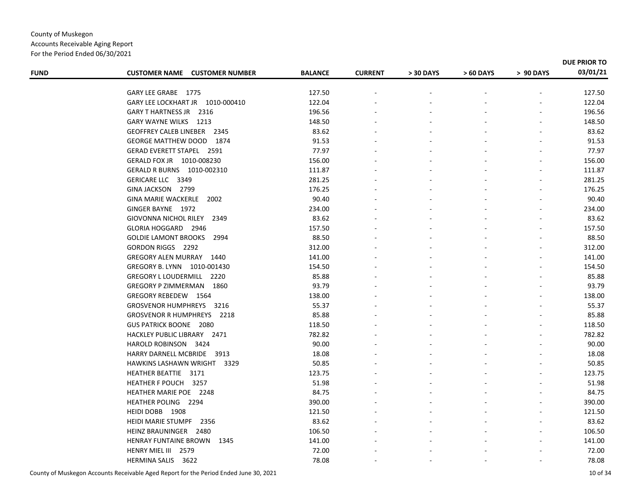Accounts Receivable Aging Report For the Period Ended 06/30/2021

| <b>FUND</b> | <b>CUSTOMER NAME CUSTOMER NUMBER</b> | <b>BALANCE</b> | <b>CURRENT</b> | > 30 DAYS | > 60 DAYS | > 90 DAYS | 03/01/21 |
|-------------|--------------------------------------|----------------|----------------|-----------|-----------|-----------|----------|
|             | GARY LEE GRABE 1775                  | 127.50         |                |           |           |           | 127.50   |
|             | GARY LEE LOCKHART JR 1010-000410     | 122.04         |                |           |           |           | 122.04   |
|             | GARY THARTNESS JR 2316               | 196.56         |                |           |           |           | 196.56   |
|             | GARY WAYNE WILKS 1213                | 148.50         |                |           |           |           | 148.50   |
|             | GEOFFREY CALEB LINEBER 2345          | 83.62          |                |           |           |           | 83.62    |
|             | <b>GEORGE MATTHEW DOOD</b><br>1874   | 91.53          |                |           |           |           | 91.53    |
|             | <b>GERAD EVERETT STAPEL 2591</b>     | 77.97          |                |           |           |           | 77.97    |
|             | GERALD FOX JR 1010-008230            | 156.00         |                |           |           |           | 156.00   |
|             | GERALD R BURNS 1010-002310           | 111.87         |                |           |           |           | 111.87   |
|             | GERICARE LLC 3349                    | 281.25         |                |           |           |           | 281.25   |
|             | GINA JACKSON 2799                    | 176.25         |                |           |           |           | 176.25   |
|             | GINA MARIE WACKERLE 2002             | 90.40          |                |           |           |           | 90.40    |
|             | GINGER BAYNE 1972                    | 234.00         |                |           |           |           | 234.00   |
|             | GIOVONNA NICHOL RILEY<br>2349        | 83.62          |                |           |           |           | 83.62    |
|             | GLORIA HOGGARD 2946                  | 157.50         |                |           |           |           | 157.50   |
|             | <b>GOLDIE LAMONT BROOKS</b><br>2994  | 88.50          |                |           |           |           | 88.50    |
|             | GORDON RIGGS 2292                    | 312.00         |                |           |           |           | 312.00   |
|             | GREGORY ALEN MURRAY 1440             | 141.00         |                |           |           |           | 141.00   |
|             | GREGORY B. LYNN 1010-001430          | 154.50         |                |           |           |           | 154.50   |
|             | GREGORY L LOUDERMILL 2220            | 85.88          |                |           |           |           | 85.88    |
|             | <b>GREGORY P ZIMMERMAN</b><br>1860   | 93.79          |                |           |           |           | 93.79    |
|             | GREGORY REBEDEW 1564                 | 138.00         |                |           |           |           | 138.00   |
|             | GROSVENOR HUMPHREYS 3216             | 55.37          |                |           |           |           | 55.37    |
|             | <b>GROSVENOR R HUMPHREYS 2218</b>    | 85.88          |                |           |           |           | 85.88    |
|             | GUS PATRICK BOONE 2080               | 118.50         |                |           |           |           | 118.50   |
|             | HACKLEY PUBLIC LIBRARY 2471          | 782.82         |                |           |           |           | 782.82   |
|             | HAROLD ROBINSON 3424                 | 90.00          |                |           |           |           | 90.00    |
|             | HARRY DARNELL MCBRIDE 3913           | 18.08          |                |           |           |           | 18.08    |
|             | HAWKINS LASHAWN WRIGHT 3329          | 50.85          |                |           |           |           | 50.85    |
|             | HEATHER BEATTIE 3171                 | 123.75         |                |           |           |           | 123.75   |
|             | HEATHER F POUCH 3257                 | 51.98          |                |           |           |           | 51.98    |
|             | HEATHER MARIE POE 2248               | 84.75          |                |           |           |           | 84.75    |
|             | HEATHER POLING 2294                  | 390.00         |                |           |           |           | 390.00   |
|             | HEIDI DOBB 1908                      | 121.50         |                |           |           |           | 121.50   |
|             | HEIDI MARIE STUMPF<br>2356           | 83.62          |                |           |           |           | 83.62    |
|             | HEINZ BRAUNINGER 2480                | 106.50         |                |           |           |           | 106.50   |
|             | <b>HENRAY FUNTAINE BROWN 1345</b>    | 141.00         |                |           |           |           | 141.00   |
|             | HENRY MIEL III 2579                  | 72.00          |                |           |           |           | 72.00    |
|             | HERMINA SALIS 3622                   | 78.08          |                |           |           |           | 78.08    |
|             |                                      |                |                |           |           |           |          |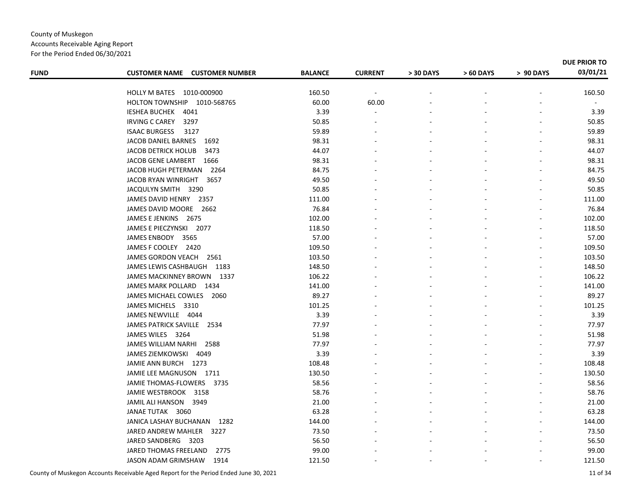| <b>FUND</b> | <b>CUSTOMER NAME CUSTOMER NUMBER</b> | <b>BALANCE</b> | <b>CURRENT</b> | > 30 DAYS | > 60 DAYS | > 90 DAYS | DUE PRIOR TO<br>03/01/21 |
|-------------|--------------------------------------|----------------|----------------|-----------|-----------|-----------|--------------------------|
|             | HOLLY M BATES 1010-000900            | 160.50         | $\sim$         |           |           |           | 160.50                   |
|             | HOLTON TOWNSHIP 1010-568765          | 60.00          | 60.00          |           |           |           | $\blacksquare$           |
|             | IESHEA BUCHEK 4041                   | 3.39           |                |           |           |           | 3.39                     |
|             | <b>IRVING C CAREY</b><br>3297        | 50.85          |                |           |           |           | 50.85                    |
|             | <b>ISAAC BURGESS</b><br>3127         | 59.89          |                |           |           |           | 59.89                    |
|             | JACOB DANIEL BARNES<br>1692          | 98.31          |                |           |           |           | 98.31                    |
|             | <b>JACOB DETRICK HOLUB</b><br>3473   | 44.07          |                |           |           |           | 44.07                    |
|             | JACOB GENE LAMBERT 1666              | 98.31          |                |           |           |           | 98.31                    |
|             | JACOB HUGH PETERMAN 2264             | 84.75          |                |           |           |           | 84.75                    |
|             | JACOB RYAN WINRIGHT 3657             | 49.50          |                |           |           |           | 49.50                    |
|             | JACQULYN SMITH 3290                  | 50.85          |                |           |           |           | 50.85                    |
|             | JAMES DAVID HENRY 2357               | 111.00         |                |           |           |           | 111.00                   |
|             | JAMES DAVID MOORE 2662               | 76.84          |                |           |           |           | 76.84                    |
|             | JAMES E JENKINS 2675                 | 102.00         |                |           |           |           | 102.00                   |
|             | JAMES E PIECZYNSKI 2077              | 118.50         |                |           |           |           | 118.50                   |
|             | JAMES ENBODY 3565                    | 57.00          |                |           |           |           | 57.00                    |
|             | JAMES F COOLEY 2420                  | 109.50         |                |           |           |           | 109.50                   |
|             | JAMES GORDON VEACH 2561              | 103.50         |                |           |           |           | 103.50                   |
|             | JAMES LEWIS CASHBAUGH 1183           | 148.50         |                |           |           |           | 148.50                   |
|             | JAMES MACKINNEY BROWN 1337           | 106.22         |                |           |           |           | 106.22                   |
|             | JAMES MARK POLLARD 1434              | 141.00         |                |           |           |           | 141.00                   |
|             | JAMES MICHAEL COWLES 2060            | 89.27          |                |           |           |           | 89.27                    |
|             | JAMES MICHELS 3310                   | 101.25         |                |           |           |           | 101.25                   |
|             | JAMES NEWVILLE 4044                  | 3.39           |                |           |           |           | 3.39                     |
|             | JAMES PATRICK SAVILLE 2534           | 77.97          |                |           |           |           | 77.97                    |
|             | JAMES WILES 3264                     | 51.98          |                |           |           |           | 51.98                    |
|             | JAMES WILLIAM NARHI<br>2588          | 77.97          |                |           |           |           | 77.97                    |
|             | <b>JAMES ZIEMKOWSKI</b><br>4049      | 3.39           |                |           |           |           | 3.39                     |
|             | JAMIE ANN BURCH 1273                 | 108.48         |                |           |           |           | 108.48                   |
|             | JAMIE LEE MAGNUSON 1711              | 130.50         |                |           |           |           | 130.50                   |
|             | JAMIE THOMAS-FLOWERS 3735            | 58.56          |                |           |           |           | 58.56                    |
|             | JAMIE WESTBROOK 3158                 | 58.76          |                |           |           |           | 58.76                    |
|             | JAMIL ALI HANSON 3949                | 21.00          |                |           |           |           | 21.00                    |
|             | JANAE TUTAK 3060                     | 63.28          |                |           |           |           | 63.28                    |
|             | JANICA LASHAY BUCHANAN<br>1282       | 144.00         |                |           |           |           | 144.00                   |
|             | JARED ANDREW MAHLER 3227             | 73.50          |                |           |           |           | 73.50                    |
|             | JARED SANDBERG<br>3203               | 56.50          |                |           |           |           | 56.50                    |
|             | JARED THOMAS FREELAND<br>2775        | 99.00          |                |           |           |           | 99.00                    |
|             | <b>JASON ADAM GRIMSHAW</b><br>1914   | 121.50         |                |           |           |           | 121.50                   |
|             |                                      |                |                |           |           |           |                          |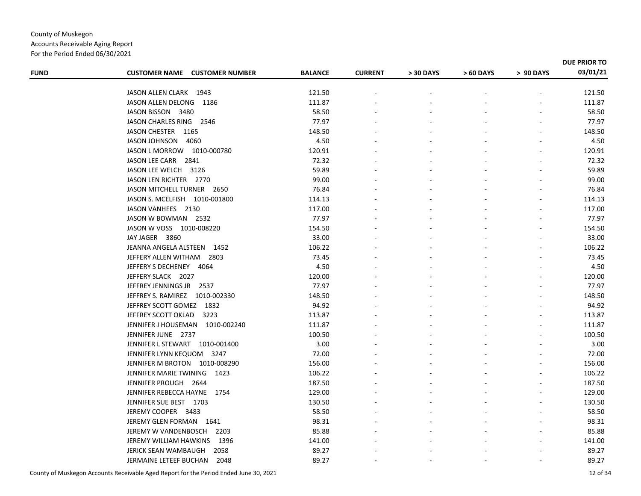For the Period Ended 06/30/2021

| <b>FUND</b> | <b>CUSTOMER NAME CUSTOMER NUMBER</b> | <b>BALANCE</b> | <b>CURRENT</b> | > 30 DAYS | > 60 DAYS | > 90 DAYS | DUE PRIOR TO<br>03/01/21 |
|-------------|--------------------------------------|----------------|----------------|-----------|-----------|-----------|--------------------------|
|             |                                      |                |                |           |           |           |                          |
|             | JASON ALLEN CLARK 1943               | 121.50         |                |           |           |           | 121.50                   |
|             | JASON ALLEN DELONG<br>1186           | 111.87         |                |           |           |           | 111.87                   |
|             | JASON BISSON 3480                    | 58.50          |                |           |           |           | 58.50                    |
|             | JASON CHARLES RING 2546              | 77.97          |                |           |           |           | 77.97                    |
|             | JASON CHESTER 1165                   | 148.50         |                |           |           |           | 148.50                   |
|             | JASON JOHNSON 4060                   | 4.50           |                |           |           |           | 4.50                     |
|             | JASON L MORROW 1010-000780           | 120.91         |                |           |           |           | 120.91                   |
|             | JASON LEE CARR 2841                  | 72.32          |                |           |           |           | 72.32                    |
|             | JASON LEE WELCH 3126                 | 59.89          |                |           |           |           | 59.89                    |
|             | JASON LEN RICHTER 2770               | 99.00          |                |           |           |           | 99.00                    |
|             | JASON MITCHELL TURNER 2650           | 76.84          |                |           |           |           | 76.84                    |
|             | JASON S. MCELFISH 1010-001800        | 114.13         |                |           |           |           | 114.13                   |
|             | JASON VANHEES 2130                   | 117.00         |                |           |           |           | 117.00                   |
|             | JASON W BOWMAN 2532                  | 77.97          |                |           |           |           | 77.97                    |
|             | JASON W VOSS 1010-008220             | 154.50         |                |           |           |           | 154.50                   |
|             | JAY JAGER 3860                       | 33.00          |                |           |           |           | 33.00                    |
|             | JEANNA ANGELA ALSTEEN 1452           | 106.22         |                |           |           |           | 106.22                   |
|             | JEFFERY ALLEN WITHAM 2803            | 73.45          |                |           |           |           | 73.45                    |
|             | JEFFERY S DECHENEY 4064              | 4.50           |                |           |           |           | 4.50                     |
|             | JEFFERY SLACK 2027                   | 120.00         |                |           |           |           | 120.00                   |
|             | JEFFREY JENNINGS JR 2537             | 77.97          |                |           |           |           | 77.97                    |
|             | JEFFREY S. RAMIREZ 1010-002330       | 148.50         |                |           |           |           | 148.50                   |
|             | JEFFREY SCOTT GOMEZ 1832             | 94.92          |                |           |           |           | 94.92                    |
|             | JEFFREY SCOTT OKLAD<br>3223          | 113.87         |                |           |           |           | 113.87                   |
|             | JENNIFER J HOUSEMAN 1010-002240      | 111.87         |                |           |           |           | 111.87                   |
|             | JENNIFER JUNE 2737                   | 100.50         |                |           |           |           | 100.50                   |
|             | JENNIFER L STEWART 1010-001400       | 3.00           |                |           |           |           | 3.00                     |
|             | JENNIFER LYNN KEQUOM 3247            | 72.00          |                |           |           |           | 72.00                    |
|             | JENNIFER M BROTON 1010-008290        | 156.00         |                |           |           |           | 156.00                   |
|             | JENNIFER MARIE TWINING 1423          | 106.22         |                |           |           |           | 106.22                   |
|             | JENNIFER PROUGH 2644                 | 187.50         |                |           |           |           | 187.50                   |
|             | JENNIFER REBECCA HAYNE<br>1754       | 129.00         |                |           |           |           | 129.00                   |
|             | JENNIFER SUE BEST 1703               | 130.50         |                |           |           |           | 130.50                   |
|             | JEREMY COOPER 3483                   | 58.50          |                |           |           |           | 58.50                    |
|             | JEREMY GLEN FORMAN 1641              | 98.31          |                |           |           |           | 98.31                    |
|             | JEREMY W VANDENBOSCH<br>2203         | 85.88          |                |           |           |           | 85.88                    |
|             | JEREMY WILLIAM HAWKINS<br>1396       | 141.00         |                |           |           |           | 141.00                   |
|             | 2058<br><b>JERICK SEAN WAMBAUGH</b>  | 89.27          |                |           |           |           | 89.27                    |
|             | JERMAINE LETEEF BUCHAN<br>2048       | 89.27          |                |           |           |           | 89.27                    |
|             |                                      |                |                |           |           |           |                          |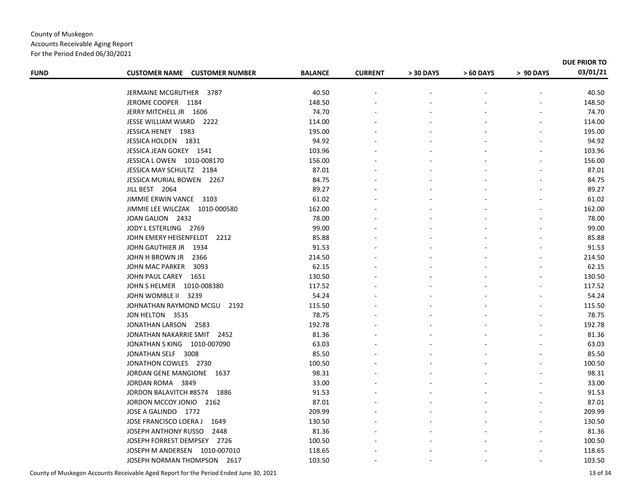#### County of Muskegon Accounts Receivable Aging Report For the Period Ended 06/30/2021

| <b>FUND</b> | <b>CUSTOMER NAME CUSTOMER NUMBER</b> | <b>BALANCE</b> | <b>CURRENT</b> | > 30 DAYS | > 60 DAYS | > 90 DAYS | <b>DUE PRIOR TO</b><br>03/01/21 |
|-------------|--------------------------------------|----------------|----------------|-----------|-----------|-----------|---------------------------------|
|             |                                      |                |                |           |           |           |                                 |
|             | JERMAINE MCGRUTHER 3787              | 40.50          |                |           |           |           | 40.50                           |
|             | JEROME COOPER 1184                   | 148.50         |                |           |           |           | 148.50                          |
|             | JERRY MITCHELL JR 1606               | 74.70          |                |           |           |           | 74.70                           |
|             | JESSE WILLIAM WIARD 2222             | 114.00         |                |           |           |           | 114.00                          |
|             | JESSICA HENEY 1983                   | 195.00         |                |           |           |           | 195.00                          |
|             | JESSICA HOLDEN 1831                  | 94.92          |                |           |           |           | 94.92                           |
|             | JESSICA JEAN GOKEY 1541              | 103.96         |                |           |           |           | 103.96                          |
|             | JESSICA L OWEN 1010-008170           | 156.00         |                |           |           |           | 156.00                          |
|             | JESSICA MAY SCHULTZ 2184             | 87.01          |                |           |           |           | 87.01                           |
|             | JESSICA MURIAL BOWEN 2267            | 84.75          |                |           |           |           | 84.75                           |
|             | JILL BEST 2064                       | 89.27          |                |           |           |           | 89.27                           |
|             | JIMMIE ERWIN VANCE 3103              | 61.02          |                |           |           |           | 61.02                           |
|             | JIMMIE LEE WILCZAK 1010-000580       | 162.00         |                |           |           |           | 162.00                          |
|             | JOAN GALION 2432                     | 78.00          |                |           |           |           | 78.00                           |
|             | JODY L ESTERLING 2769                | 99.00          |                |           |           |           | 99.00                           |
|             | JOHN EMERY HEISENFELDT<br>2212       | 85.88          |                |           |           |           | 85.88                           |
|             | JOHN GAUTHIER JR<br>1934             | 91.53          |                |           |           |           | 91.53                           |
|             | JOHN H BROWN JR<br>2366              | 214.50         |                |           |           |           | 214.50                          |
|             | JOHN MAC PARKER<br>3093              | 62.15          |                |           |           |           | 62.15                           |
|             | JOHN PAUL CAREY 1651                 | 130.50         |                |           |           |           | 130.50                          |
|             | JOHN S HELMER  1010-008380           | 117.52         |                |           |           |           | 117.52                          |
|             | JOHN WOMBLE II 3239                  | 54.24          |                |           |           |           | 54.24                           |
|             | JOHNATHAN RAYMOND MCGU<br>2192       | 115.50         |                |           |           |           | 115.50                          |
|             | JON HELTON 3535                      | 78.75          |                |           |           |           | 78.75                           |
|             | JONATHAN LARSON 2583                 | 192.78         |                |           |           |           | 192.78                          |
|             | JONATHAN NAKARRIE SMIT 2452          | 81.36          |                |           |           |           | 81.36                           |
|             | JONATHAN S KING 1010-007090          | 63.03          |                |           |           |           | 63.03                           |
|             | JONATHAN SELF 3008                   | 85.50          |                |           |           |           | 85.50                           |
|             | JONATHON COWLES 2730                 | 100.50         |                |           |           |           | 100.50                          |
|             | JORDAN GENE MANGIONE 1637            | 98.31          |                |           |           |           | 98.31                           |
|             | JORDAN ROMA 3849                     | 33.00          |                |           |           |           | 33.00                           |
|             | JORDON BALAVITCH #8574 1886          | 91.53          |                |           |           |           | 91.53                           |
|             | JORDON MCCOY JONIO 2162              | 87.01          |                |           |           |           | 87.01                           |
|             | JOSE A GALINDO 1772                  | 209.99         |                |           |           |           | 209.99                          |
|             | JOSE FRANCISCO LOERA J<br>1649       | 130.50         |                |           |           |           | 130.50                          |
|             | JOSEPH ANTHONY RUSSO 2448            | 81.36          |                |           |           |           | 81.36                           |
|             | JOSEPH FORREST DEMPSEY 2726          | 100.50         |                |           |           |           | 100.50                          |
|             | JOSEPH M ANDERSEN 1010-007010        | 118.65         |                |           |           |           | 118.65                          |
|             | JOSEPH NORMAN THOMPSON 2617          | 103.50         |                |           |           |           | 103.50                          |
|             |                                      |                |                |           |           |           |                                 |

County of Muskegon Accounts Receivable Aged Report for the Period Ended June 30, 2021 13 of 34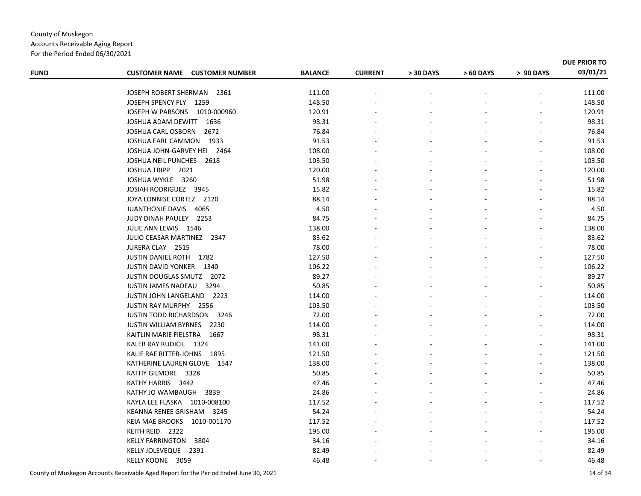|  | For the Period Ended 06/30/2021 |  |
|--|---------------------------------|--|
|  |                                 |  |

| <b>FUND</b> | <b>CUSTOMER NAME CUSTOMER NUMBER</b> | <b>BALANCE</b> | <b>CURRENT</b> | > 30 DAYS | > 60 DAYS | > 90 DAYS | 03/01/21 |
|-------------|--------------------------------------|----------------|----------------|-----------|-----------|-----------|----------|
|             | JOSEPH ROBERT SHERMAN<br>2361        | 111.00         |                |           |           |           | 111.00   |
|             | JOSEPH SPENCY FLY 1259               | 148.50         |                |           |           |           | 148.50   |
|             | JOSEPH W PARSONS 1010-000960         | 120.91         |                |           |           |           | 120.91   |
|             | JOSHUA ADAM DEWITT 1636              | 98.31          |                |           |           |           | 98.31    |
|             | JOSHUA CARL OSBORN<br>2672           | 76.84          |                |           |           |           | 76.84    |
|             | JOSHUA EARL CAMMON 1933              | 91.53          |                |           |           |           | 91.53    |
|             | JOSHUA JOHN-GARVEY HEI 2464          | 108.00         |                |           |           |           | 108.00   |
|             | JOSHUA NEIL PUNCHES 2618             | 103.50         |                |           |           |           | 103.50   |
|             | JOSHUA TRIPP 2021                    | 120.00         |                |           |           |           | 120.00   |
|             | JOSHUA WYKLE 3260                    | 51.98          |                |           |           |           | 51.98    |
|             | JOSIAH RODRIGUEZ 3945                | 15.82          |                |           |           |           | 15.82    |
|             | JOYA LONNISE CORTEZ 2120             | 88.14          |                |           |           |           | 88.14    |
|             | JUANTHONIE DAVIS 4065                | 4.50           |                |           |           |           | 4.50     |
|             | JUDY DINAH PAULEY 2253               | 84.75          |                |           |           |           | 84.75    |
|             | JULIE ANN LEWIS 1546                 | 138.00         |                |           |           |           | 138.00   |
|             | JULIO CEASAR MARTINEZ 2347           | 83.62          |                |           |           |           | 83.62    |
|             | JURERA CLAY 2515                     | 78.00          |                |           |           |           | 78.00    |
|             | JUSTIN DANIEL ROTH 1782              | 127.50         |                |           |           |           | 127.50   |
|             | <b>JUSTIN DAVID YONKER 1340</b>      | 106.22         |                |           |           |           | 106.22   |
|             | JUSTIN DOUGLAS SMUTZ 2072            | 89.27          |                |           |           |           | 89.27    |
|             | JUSTIN JAMES NADEAU 3294             | 50.85          |                |           |           |           | 50.85    |
|             | JUSTIN JOHN LANGELAND 2223           | 114.00         |                |           |           |           | 114.00   |
|             | JUSTIN RAY MURPHY 2556               | 103.50         |                |           |           |           | 103.50   |
|             | <b>JUSTIN TODD RICHARDSON 3246</b>   | 72.00          |                |           |           |           | 72.00    |
|             | JUSTIN WILLIAM BYRNES 2230           | 114.00         |                |           |           |           | 114.00   |
|             | KAITLIN MARIE FIELSTRA 1667          | 98.31          |                |           |           |           | 98.31    |
|             | KALEB RAY RUDICIL 1324               | 141.00         |                |           |           |           | 141.00   |
|             | KALIE RAE RITTER-JOHNS 1895          | 121.50         |                |           |           |           | 121.50   |
|             | KATHERINE LAUREN GLOVE 1547          | 138.00         |                |           |           |           | 138.00   |
|             | KATHY GILMORE 3328                   | 50.85          |                |           |           |           | 50.85    |
|             | KATHY HARRIS 3442                    | 47.46          |                |           |           |           | 47.46    |
|             | KATHY JO WAMBAUGH<br>3839            | 24.86          |                |           |           |           | 24.86    |
|             | KAYLA LEE FLASKA 1010-008100         | 117.52         |                |           |           |           | 117.52   |
|             | KEANNA RENEE GRISHAM 3245            | 54.24          |                |           |           |           | 54.24    |
|             | KEIA MAE BROOKS 1010-001170          | 117.52         |                |           |           |           | 117.52   |
|             | KEITH REID 2322                      | 195.00         |                |           |           |           | 195.00   |
|             | KELLY FARRINGTON 3804                | 34.16          |                |           |           |           | 34.16    |
|             | KELLY JOLEVEQUE 2391                 | 82.49          |                |           |           |           | 82.49    |
|             | KELLY KOONE 3059                     | 46.48          |                |           |           |           | 46.48    |
|             |                                      |                |                |           |           |           |          |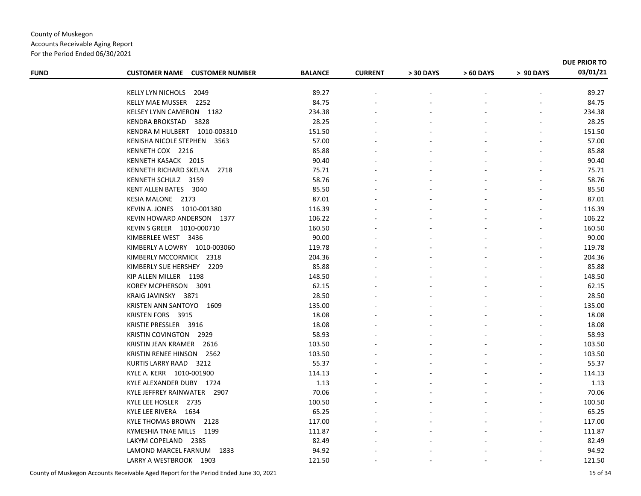Accounts Receivable Aging Report For the Period Ended 06/30/2021

| <b>FUND</b> | <b>CUSTOMER NAME CUSTOMER NUMBER</b>                    | <b>BALANCE</b>   | <b>CURRENT</b> | > 30 DAYS | > 60 DAYS | > 90 DAYS | 03/01/21         |
|-------------|---------------------------------------------------------|------------------|----------------|-----------|-----------|-----------|------------------|
|             | KELLY LYN NICHOLS<br>2049                               | 89.27            |                |           |           |           | 89.27            |
|             | KELLY MAE MUSSER 2252                                   | 84.75            |                |           |           |           | 84.75            |
|             | KELSEY LYNN CAMERON 1182                                | 234.38           |                |           |           |           | 234.38           |
|             | KENDRA BROKSTAD<br>3828                                 | 28.25            |                |           |           |           | 28.25            |
|             | KENDRA M HULBERT 1010-003310                            | 151.50           |                |           |           |           | 151.50           |
|             | KENISHA NICOLE STEPHEN 3563                             | 57.00            |                |           |           |           | 57.00            |
|             | KENNETH COX 2216                                        | 85.88            |                |           |           |           | 85.88            |
|             | KENNETH KASACK 2015                                     | 90.40            |                |           |           |           | 90.40            |
|             | KENNETH RICHARD SKELNA 2718                             | 75.71            |                |           |           |           | 75.71            |
|             | KENNETH SCHULZ 3159                                     | 58.76            |                |           |           |           | 58.76            |
|             | KENT ALLEN BATES 3040                                   | 85.50            |                |           |           |           | 85.50            |
|             | KESIA MALONE 2173                                       | 87.01            |                |           |           |           | 87.01            |
|             |                                                         |                  |                |           |           |           |                  |
|             | KEVIN A. JONES 1010-001380                              | 116.39           |                |           |           |           | 116.39           |
|             | KEVIN HOWARD ANDERSON 1377<br>KEVIN S GREER 1010-000710 | 106.22<br>160.50 |                |           |           |           | 106.22<br>160.50 |
|             |                                                         |                  |                |           |           |           |                  |
|             | KIMBERLEE WEST 3436                                     | 90.00            |                |           |           |           | 90.00            |
|             | KIMBERLY A LOWRY 1010-003060                            | 119.78           |                |           |           |           | 119.78           |
|             | KIMBERLY MCCORMICK 2318                                 | 204.36           |                |           |           |           | 204.36           |
|             | KIMBERLY SUE HERSHEY 2209                               | 85.88            |                |           |           |           | 85.88            |
|             | KIP ALLEN MILLER 1198                                   | 148.50           |                |           |           |           | 148.50           |
|             | KOREY MCPHERSON 3091                                    | 62.15            |                |           |           |           | 62.15            |
|             | KRAIG JAVINSKY 3871                                     | 28.50            |                |           |           |           | 28.50            |
|             | KRISTEN ANN SANTOYO 1609                                | 135.00           |                |           |           |           | 135.00           |
|             | KRISTEN FORS 3915                                       | 18.08            |                |           |           |           | 18.08            |
|             | KRISTIE PRESSLER 3916                                   | 18.08            |                |           |           |           | 18.08            |
|             | <b>KRISTIN COVINGTON 2929</b>                           | 58.93            |                |           |           |           | 58.93            |
|             | KRISTIN JEAN KRAMER 2616                                | 103.50           |                |           |           |           | 103.50           |
|             | KRISTIN RENEE HINSON 2562                               | 103.50           |                |           |           |           | 103.50           |
|             | KURTIS LARRY RAAD 3212                                  | 55.37            |                |           |           |           | 55.37            |
|             | KYLE A. KERR 1010-001900                                | 114.13           |                |           |           |           | 114.13           |
|             | KYLE ALEXANDER DUBY 1724                                | 1.13             |                |           |           |           | 1.13             |
|             | KYLE JEFFREY RAINWATER 2907                             | 70.06            |                |           |           |           | 70.06            |
|             | KYLE LEE HOSLER 2735                                    | 100.50           |                |           |           |           | 100.50           |
|             | KYLE LEE RIVERA 1634                                    | 65.25            |                |           |           |           | 65.25            |
|             | KYLE THOMAS BROWN<br>2128                               | 117.00           |                |           |           |           | 117.00           |
|             | KYMESHIA TNAE MILLS 1199                                | 111.87           |                |           |           |           | 111.87           |
|             | LAKYM COPELAND 2385                                     | 82.49            |                |           |           |           | 82.49            |
|             | LAMOND MARCEL FARNUM 1833                               | 94.92            |                |           |           |           | 94.92            |
|             | LARRY A WESTBROOK 1903                                  | 121.50           |                |           |           |           | 121.50           |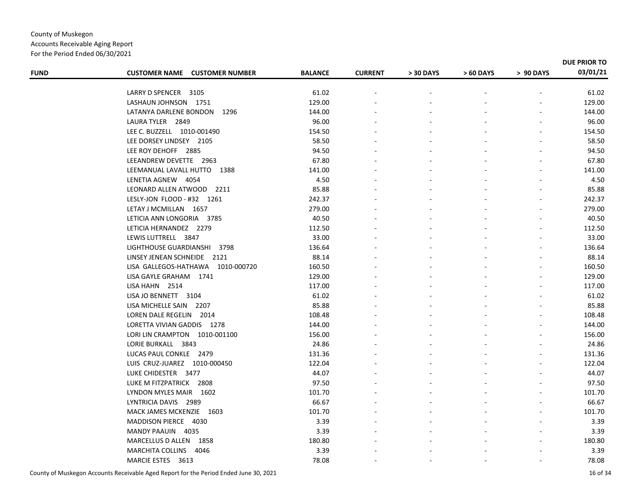Accounts Receivable Aging Report For the Period Ended 06/30/2021

| <b>FUND</b> | <b>CUSTOMER NAME CUSTOMER NUMBER</b> | <b>BALANCE</b> | <b>CURRENT</b> | > 30 DAYS | > 60 DAYS | > 90 DAYS | 03/01/21 |
|-------------|--------------------------------------|----------------|----------------|-----------|-----------|-----------|----------|
|             | LARRY D SPENCER 3105                 | 61.02          |                |           |           |           | 61.02    |
|             | LASHAUN JOHNSON 1751                 | 129.00         |                |           |           |           | 129.00   |
|             | LATANYA DARLENE BONDON<br>1296       | 144.00         |                |           |           |           | 144.00   |
|             | LAURA TYLER 2849                     | 96.00          |                |           |           |           | 96.00    |
|             | LEE C. BUZZELL 1010-001490           | 154.50         |                |           |           |           | 154.50   |
|             | LEE DORSEY LINDSEY 2105              | 58.50          |                |           |           |           | 58.50    |
|             | LEE ROY DEHOFF 2885                  | 94.50          |                |           |           |           | 94.50    |
|             | LEEANDREW DEVETTE 2963               | 67.80          |                |           |           |           | 67.80    |
|             | LEEMANUAL LAVALL HUTTO 1388          | 141.00         |                |           |           |           | 141.00   |
|             | LENETIA AGNEW 4054                   | 4.50           |                |           |           |           | 4.50     |
|             | LEONARD ALLEN ATWOOD 2211            | 85.88          |                |           |           |           | 85.88    |
|             | LESLY-JON FLOOD - #32 1261           | 242.37         |                |           |           |           | 242.37   |
|             | LETAY J MCMILLAN 1657                | 279.00         |                |           |           |           | 279.00   |
|             | LETICIA ANN LONGORIA 3785            | 40.50          |                |           |           |           | 40.50    |
|             | LETICIA HERNANDEZ 2279               | 112.50         |                |           |           |           | 112.50   |
|             | LEWIS LUTTRELL 3847                  | 33.00          |                |           |           |           | 33.00    |
|             | LIGHTHOUSE GUARDIANSHI 3798          | 136.64         |                |           |           |           | 136.64   |
|             | LINSEY JENEAN SCHNEIDE 2121          | 88.14          |                |           |           |           | 88.14    |
|             | LISA GALLEGOS-HATHAWA 1010-000720    | 160.50         |                |           |           |           | 160.50   |
|             | LISA GAYLE GRAHAM 1741               | 129.00         |                |           |           |           | 129.00   |
|             | LISA HAHN 2514                       | 117.00         |                |           |           |           | 117.00   |
|             | LISA JO BENNETT 3104                 | 61.02          |                |           |           |           | 61.02    |
|             | LISA MICHELLE SAIN 2207              | 85.88          |                |           |           |           | 85.88    |
|             | LOREN DALE REGELIN 2014              | 108.48         |                |           |           |           | 108.48   |
|             | LORETTA VIVIAN GADDIS 1278           | 144.00         |                |           |           |           | 144.00   |
|             | LORI LIN CRAMPTON 1010-001100        | 156.00         |                |           |           |           | 156.00   |
|             | LORIE BURKALL 3843                   | 24.86          |                |           |           |           | 24.86    |
|             | LUCAS PAUL CONKLE 2479               | 131.36         |                |           |           |           | 131.36   |
|             | LUIS CRUZ-JUAREZ 1010-000450         | 122.04         |                |           |           |           | 122.04   |
|             | LUKE CHIDESTER 3477                  | 44.07          |                |           |           |           | 44.07    |
|             | LUKE M FITZPATRICK 2808              | 97.50          |                |           |           |           | 97.50    |
|             | LYNDON MYLES MAIR 1602               | 101.70         |                |           |           |           | 101.70   |
|             | LYNTRICIA DAVIS 2989                 | 66.67          |                |           |           |           | 66.67    |
|             | MACK JAMES MCKENZIE 1603             | 101.70         |                |           |           |           | 101.70   |
|             | MADDISON PIERCE 4030                 | 3.39           |                |           |           |           | 3.39     |
|             | MANDY PAAUIN 4035                    | 3.39           |                |           |           |           | 3.39     |
|             | MARCELLUS D ALLEN 1858               | 180.80         |                |           |           |           | 180.80   |
|             | MARCHITA COLLINS 4046                | 3.39           |                |           |           |           | 3.39     |
|             | MARCIE ESTES 3613                    | 78.08          |                |           |           |           | 78.08    |
|             |                                      |                |                |           |           |           |          |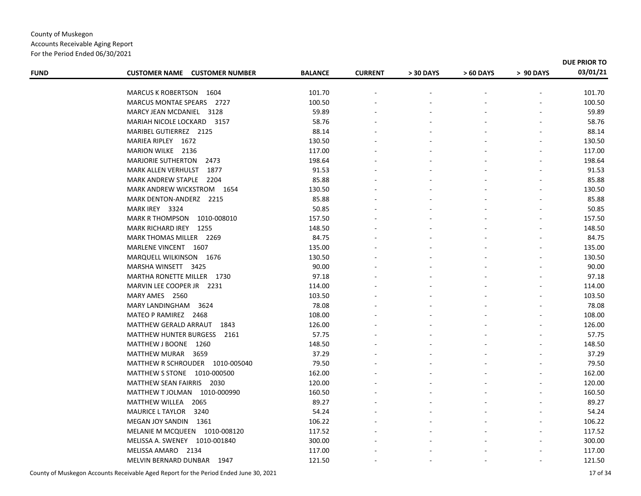For the Period Ended 06/30/2021

| <b>FUND</b> | <b>CUSTOMER NAME CUSTOMER NUMBER</b>  | <b>BALANCE</b> | <b>CURRENT</b> | > 30 DAYS | > 60 DAYS | > 90 DAYS | DUE PRIOR TO<br>03/01/21 |
|-------------|---------------------------------------|----------------|----------------|-----------|-----------|-----------|--------------------------|
|             |                                       |                |                |           |           |           |                          |
|             | MARCUS K ROBERTSON 1604               | 101.70         |                |           |           |           | 101.70                   |
|             | MARCUS MONTAE SPEARS 2727             | 100.50         |                |           |           |           | 100.50                   |
|             | MARCY JEAN MCDANIEL 3128              | 59.89          |                |           |           |           | 59.89                    |
|             | MARIAH NICOLE LOCKARD 3157            | 58.76          |                |           |           |           | 58.76                    |
|             | MARIBEL GUTIERREZ 2125                | 88.14          |                |           |           |           | 88.14                    |
|             | MARIEA RIPLEY 1672                    | 130.50         |                |           |           |           | 130.50                   |
|             | MARION WILKE 2136                     | 117.00         |                |           |           |           | 117.00                   |
|             | <b>MARJORIE SUTHERTON</b><br>2473     | 198.64         |                |           |           |           | 198.64                   |
|             | 1877<br>MARK ALLEN VERHULST           | 91.53          |                |           |           |           | 91.53                    |
|             | MARK ANDREW STAPLE 2204               | 85.88          |                |           |           |           | 85.88                    |
|             | MARK ANDREW WICKSTROM 1654            | 130.50         |                |           |           |           | 130.50                   |
|             | MARK DENTON-ANDERZ 2215               | 85.88          |                |           |           |           | 85.88                    |
|             | MARK IREY 3324                        | 50.85          |                |           |           |           | 50.85                    |
|             | <b>MARK R THOMPSON</b><br>1010-008010 | 157.50         |                |           |           |           | 157.50                   |
|             | MARK RICHARD IREY<br>- 1255           | 148.50         |                |           |           |           | 148.50                   |
|             | MARK THOMAS MILLER 2269               | 84.75          |                |           |           |           | 84.75                    |
|             | MARLENE VINCENT 1607                  | 135.00         |                |           |           |           | 135.00                   |
|             | MARQUELL WILKINSON 1676               | 130.50         |                |           |           |           | 130.50                   |
|             | MARSHA WINSETT 3425                   | 90.00          |                |           |           |           | 90.00                    |
|             | MARTHA RONETTE MILLER 1730            | 97.18          |                |           |           |           | 97.18                    |
|             | MARVIN LEE COOPER JR 2231             | 114.00         |                |           |           |           | 114.00                   |
|             | MARY AMES 2560                        | 103.50         |                |           |           |           | 103.50                   |
|             | MARY LANDINGHAM<br>3624               | 78.08          |                |           |           |           | 78.08                    |
|             | MATEO P RAMIREZ 2468                  | 108.00         |                |           |           |           | 108.00                   |
|             | MATTHEW GERALD ARRAUT<br>1843         | 126.00         |                |           |           |           | 126.00                   |
|             | MATTHEW HUNTER BURGESS<br>2161        | 57.75          |                |           |           |           | 57.75                    |
|             | MATTHEW J BOONE 1260                  | 148.50         |                |           |           |           | 148.50                   |
|             | MATTHEW MURAR 3659                    | 37.29          |                |           |           |           | 37.29                    |
|             | MATTHEW R SCHROUDER 1010-005040       | 79.50          |                |           |           |           | 79.50                    |
|             | MATTHEW S STONE 1010-000500           | 162.00         |                |           |           |           | 162.00                   |
|             | MATTHEW SEAN FAIRRIS 2030             | 120.00         |                |           |           |           | 120.00                   |
|             | MATTHEW T JOLMAN 1010-000990          | 160.50         |                |           |           |           | 160.50                   |
|             | MATTHEW WILLEA<br>2065                | 89.27          |                |           |           |           | 89.27                    |
|             | <b>MAURICE L TAYLOR</b><br>3240       | 54.24          |                |           |           |           | 54.24                    |
|             | MEGAN JOY SANDIN 1361                 | 106.22         |                |           |           |           | 106.22                   |
|             | MELANIE M MCQUEEN 1010-008120         | 117.52         |                |           |           |           | 117.52                   |
|             | MELISSA A. SWENEY 1010-001840         | 300.00         |                |           |           |           | 300.00                   |
|             | MELISSA AMARO 2134                    | 117.00         |                |           |           |           | 117.00                   |
|             | MELVIN BERNARD DUNBAR 1947            | 121.50         |                |           |           |           | 121.50                   |
|             |                                       |                |                |           |           |           |                          |

County of Muskegon Accounts Receivable Aged Report for the Period Ended June 30, 2021 17 of 34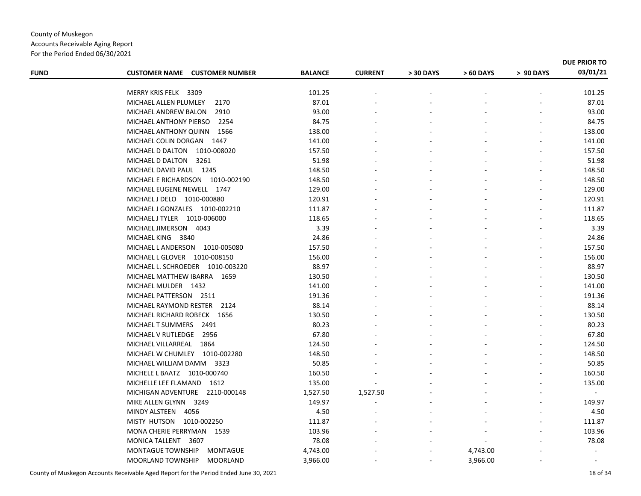Accounts Receivable Aging Report For the Period Ended 06/30/2021

| <b>FUND</b> | <b>CUSTOMER NAME CUSTOMER NUMBER</b>                        | <b>BALANCE</b>   | <b>CURRENT</b> | > 30 DAYS | > 60 DAYS | > 90 DAYS | 03/01/21       |
|-------------|-------------------------------------------------------------|------------------|----------------|-----------|-----------|-----------|----------------|
|             | MERRY KRIS FELK 3309                                        | 101.25           |                |           |           |           | 101.25         |
|             | MICHAEL ALLEN PLUMLEY<br>2170                               | 87.01            |                |           |           |           | 87.01          |
|             | 2910<br>MICHAEL ANDREW BALON                                | 93.00            |                |           |           |           | 93.00          |
|             | MICHAEL ANTHONY PIERSO<br>2254                              | 84.75            |                |           |           |           | 84.75          |
|             | MICHAEL ANTHONY QUINN 1566                                  | 138.00           |                |           |           |           | 138.00         |
|             | MICHAEL COLIN DORGAN 1447                                   | 141.00           |                |           |           |           | 141.00         |
|             | MICHAEL D DALTON 1010-008020                                | 157.50           |                |           |           |           | 157.50         |
|             | MICHAEL D DALTON 3261                                       | 51.98            |                |           |           |           | 51.98          |
|             |                                                             | 148.50           |                |           |           |           | 148.50         |
|             | MICHAEL DAVID PAUL 1245<br>MICHAEL E RICHARDSON 1010-002190 |                  |                |           |           |           | 148.50         |
|             |                                                             | 148.50<br>129.00 |                |           |           |           | 129.00         |
|             | MICHAEL EUGENE NEWELL 1747                                  |                  |                |           |           |           |                |
|             | MICHAEL J DELO 1010-000880                                  | 120.91           |                |           |           |           | 120.91         |
|             | MICHAEL J GONZALES 1010-002210                              | 111.87           |                |           |           |           | 111.87         |
|             | MICHAEL J TYLER 1010-006000                                 | 118.65           |                |           |           |           | 118.65         |
|             | MICHAEL JIMERSON 4043                                       | 3.39             |                |           |           |           | 3.39           |
|             | MICHAEL KING 3840                                           | 24.86            |                |           |           |           | 24.86          |
|             | MICHAEL LANDERSON 1010-005080                               | 157.50           |                |           |           |           | 157.50         |
|             | MICHAEL L GLOVER 1010-008150                                | 156.00           |                |           |           |           | 156.00         |
|             | MICHAEL L. SCHROEDER 1010-003220                            | 88.97            |                |           |           |           | 88.97          |
|             | MICHAEL MATTHEW IBARRA 1659                                 | 130.50           |                |           |           |           | 130.50         |
|             | MICHAEL MULDER 1432                                         | 141.00           |                |           |           |           | 141.00         |
|             | MICHAEL PATTERSON 2511                                      | 191.36           |                |           |           |           | 191.36         |
|             | MICHAEL RAYMOND RESTER<br>2124                              | 88.14            |                |           |           |           | 88.14          |
|             | MICHAEL RICHARD ROBECK 1656                                 | 130.50           |                |           |           |           | 130.50         |
|             | MICHAEL T SUMMERS 2491                                      | 80.23            |                |           |           |           | 80.23          |
|             | MICHAEL V RUTLEDGE<br>2956                                  | 67.80            |                |           |           |           | 67.80          |
|             | MICHAEL VILLARREAL 1864                                     | 124.50           |                |           |           |           | 124.50         |
|             | MICHAEL W CHUMLEY 1010-002280                               | 148.50           |                |           |           |           | 148.50         |
|             | MICHAEL WILLIAM DAMM 3323                                   | 50.85            |                |           |           |           | 50.85          |
|             | MICHELE L BAATZ 1010-000740                                 | 160.50           |                |           |           |           | 160.50         |
|             | MICHELLE LEE FLAMAND 1612                                   | 135.00           |                |           |           |           | 135.00         |
|             | MICHIGAN ADVENTURE 2210-000148                              | 1,527.50         | 1,527.50       |           |           |           |                |
|             | MIKE ALLEN GLYNN 3249                                       | 149.97           |                |           |           |           | 149.97         |
|             | MINDY ALSTEEN 4056                                          | 4.50             |                |           |           |           | 4.50           |
|             | MISTY HUTSON 1010-002250                                    | 111.87           |                |           |           |           | 111.87         |
|             | MONA CHERIE PERRYMAN 1539                                   | 103.96           |                |           |           |           | 103.96         |
|             | MONICA TALLENT 3607                                         | 78.08            |                |           |           |           | 78.08          |
|             | <b>MONTAGUE TOWNSHIP</b><br><b>MONTAGUE</b>                 | 4,743.00         |                |           | 4,743.00  |           | $\blacksquare$ |
|             | <b>MOORLAND TOWNSHIP</b><br><b>MOORLAND</b>                 | 3,966.00         |                |           | 3,966.00  |           |                |

County of Muskegon Accounts Receivable Aged Report for the Period Ended June 30, 2021 18 of 34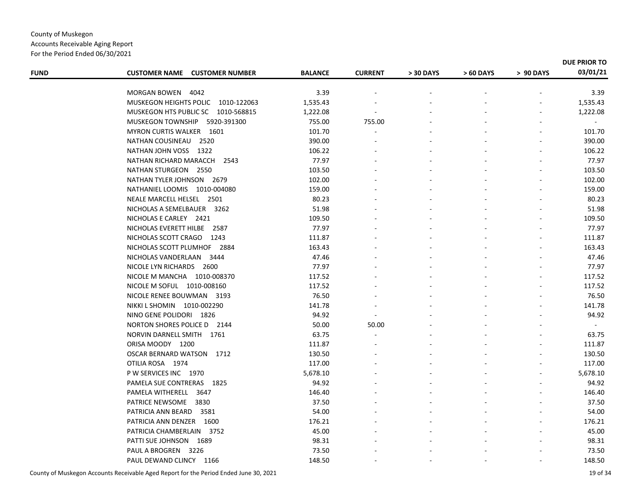Accounts Receivable Aging Report

For the Period Ended 06/30/2021

| <b>FUND</b> | <b>CUSTOMER NAME CUSTOMER NUMBER</b>    | <b>BALANCE</b> | <b>CURRENT</b> | > 30 DAYS | > 60 DAYS | > 90 DAYS | DUE PRIOR TO<br>03/01/21 |
|-------------|-----------------------------------------|----------------|----------------|-----------|-----------|-----------|--------------------------|
|             |                                         |                |                |           |           |           |                          |
|             | MORGAN BOWEN<br>4042                    | 3.39           |                |           |           |           | 3.39                     |
|             | MUSKEGON HEIGHTS POLIC 1010-122063      | 1,535.43       |                |           |           |           | 1,535.43                 |
|             | MUSKEGON HTS PUBLIC SC 1010-568815      | 1,222.08       |                |           |           |           | 1,222.08                 |
|             | <b>MUSKEGON TOWNSHIP</b><br>5920-391300 | 755.00         | 755.00         |           |           |           |                          |
|             | MYRON CURTIS WALKER 1601                | 101.70         |                |           |           |           | 101.70                   |
|             | NATHAN COUSINEAU<br>2520                | 390.00         |                |           |           |           | 390.00                   |
|             | NATHAN JOHN VOSS 1322                   | 106.22         |                |           |           |           | 106.22                   |
|             | NATHAN RICHARD MARACCH<br>2543          | 77.97          |                |           |           |           | 77.97                    |
|             | NATHAN STURGEON 2550                    | 103.50         |                |           |           |           | 103.50                   |
|             | NATHAN TYLER JOHNSON 2679               | 102.00         |                |           |           |           | 102.00                   |
|             | NATHANIEL LOOMIS 1010-004080            | 159.00         |                |           |           |           | 159.00                   |
|             | NEALE MARCELL HELSEL 2501               | 80.23          |                |           |           |           | 80.23                    |
|             | NICHOLAS A SEMELBAUER 3262              | 51.98          |                |           |           |           | 51.98                    |
|             | NICHOLAS E CARLEY 2421                  | 109.50         |                |           |           |           | 109.50                   |
|             | NICHOLAS EVERETT HILBE 2587             | 77.97          |                |           |           |           | 77.97                    |
|             | NICHOLAS SCOTT CRAGO 1243               | 111.87         |                |           |           |           | 111.87                   |
|             | NICHOLAS SCOTT PLUMHOF 2884             | 163.43         |                |           |           |           | 163.43                   |
|             | NICHOLAS VANDERLAAN 3444                | 47.46          |                |           |           |           | 47.46                    |
|             | NICOLE LYN RICHARDS 2600                | 77.97          |                |           |           |           | 77.97                    |
|             | NICOLE M MANCHA 1010-008370             | 117.52         |                |           |           |           | 117.52                   |
|             | NICOLE M SOFUL 1010-008160              | 117.52         |                |           |           |           | 117.52                   |
|             | NICOLE RENEE BOUWMAN 3193               | 76.50          |                |           |           |           | 76.50                    |
|             | NIKKI L SHOMIN 1010-002290              | 141.78         |                |           |           |           | 141.78                   |
|             | NINO GENE POLIDORI 1826                 | 94.92          |                |           |           |           | 94.92                    |
|             | NORTON SHORES POLICE D 2144             | 50.00          | 50.00          |           |           |           | $\sim$                   |
|             | NORVIN DARNELL SMITH 1761               | 63.75          |                |           |           |           | 63.75                    |
|             | ORISA MOODY 1200                        | 111.87         |                |           |           |           | 111.87                   |
|             | <b>OSCAR BERNARD WATSON</b><br>1712     | 130.50         |                |           |           |           | 130.50                   |
|             | OTILIA ROSA 1974                        | 117.00         |                |           |           |           | 117.00                   |
|             | P W SERVICES INC 1970                   | 5,678.10       |                |           |           |           | 5,678.10                 |
|             | PAMELA SUE CONTRERAS 1825               | 94.92          |                |           |           |           | 94.92                    |
|             | PAMELA WITHERELL 3647                   | 146.40         |                |           |           |           | 146.40                   |
|             | PATRICE NEWSOME<br>3830                 | 37.50          |                |           |           |           | 37.50                    |
|             | PATRICIA ANN BEARD<br>3581              | 54.00          |                |           |           |           | 54.00                    |
|             | PATRICIA ANN DENZER 1600                | 176.21         |                |           |           |           | 176.21                   |
|             | PATRICIA CHAMBERLAIN 3752               | 45.00          |                |           |           |           | 45.00                    |
|             | PATTI SUE JOHNSON 1689                  | 98.31          |                |           |           |           | 98.31                    |
|             | PAUL A BROGREN 3226                     | 73.50          |                |           |           |           | 73.50                    |
|             | PAUL DEWAND CLINCY 1166                 | 148.50         |                |           |           |           | 148.50                   |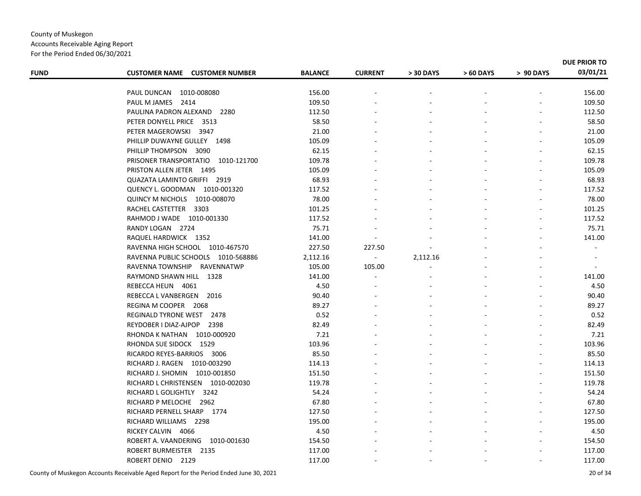| <b>FUND</b> | <b>CUSTOMER NAME CUSTOMER NUMBER</b> | <b>BALANCE</b> | <b>CURRENT</b>           | > 30 DAYS | > 60 DAYS | > 90 DAYS | DUE PRIOR TO<br>03/01/21 |
|-------------|--------------------------------------|----------------|--------------------------|-----------|-----------|-----------|--------------------------|
|             |                                      |                |                          |           |           |           |                          |
|             | PAUL DUNCAN 1010-008080              | 156.00         |                          |           |           |           | 156.00                   |
|             | PAUL M JAMES 2414                    | 109.50         |                          |           |           |           | 109.50                   |
|             | PAULINA PADRON ALEXAND 2280          | 112.50         |                          |           |           |           | 112.50                   |
|             | PETER DONYELL PRICE 3513             | 58.50          |                          |           |           |           | 58.50                    |
|             | PETER MAGEROWSKI 3947                | 21.00          |                          |           |           |           | 21.00                    |
|             | PHILLIP DUWAYNE GULLEY 1498          | 105.09         |                          |           |           |           | 105.09                   |
|             | PHILLIP THOMPSON 3090                | 62.15          |                          |           |           |           | 62.15                    |
|             | PRISONER TRANSPORTATIO 1010-121700   | 109.78         |                          |           |           |           | 109.78                   |
|             | PRISTON ALLEN JETER 1495             | 105.09         |                          |           |           |           | 105.09                   |
|             | QUAZATA LAMINTO GRIFFI 2919          | 68.93          |                          |           |           |           | 68.93                    |
|             | QUENCY L. GOODMAN 1010-001320        | 117.52         |                          |           |           |           | 117.52                   |
|             | QUINCY M NICHOLS 1010-008070         | 78.00          |                          |           |           |           | 78.00                    |
|             | RACHEL CASTETTER 3303                | 101.25         |                          |           |           |           | 101.25                   |
|             | RAHMOD J WADE 1010-001330            | 117.52         |                          |           |           |           | 117.52                   |
|             | RANDY LOGAN 2724                     | 75.71          |                          |           |           |           | 75.71                    |
|             | RAQUEL HARDWICK 1352                 | 141.00         | $\overline{\phantom{a}}$ |           |           |           | 141.00                   |
|             | RAVENNA HIGH SCHOOL 1010-467570      | 227.50         | 227.50                   |           |           |           | $\blacksquare$           |
|             | RAVENNA PUBLIC SCHOOLS 1010-568886   | 2,112.16       | $\sim$                   | 2,112.16  |           |           |                          |
|             | RAVENNA TOWNSHIP<br>RAVENNATWP       | 105.00         | 105.00                   |           |           |           | $\sim$                   |
|             | RAYMOND SHAWN HILL 1328              | 141.00         |                          |           |           |           | 141.00                   |
|             | REBECCA HEUN 4061                    | 4.50           |                          |           |           |           | 4.50                     |
|             | REBECCA L VANBERGEN 2016             | 90.40          |                          |           |           |           | 90.40                    |
|             | REGINA M COOPER 2068                 | 89.27          |                          |           |           |           | 89.27                    |
|             | REGINALD TYRONE WEST<br>2478         | 0.52           |                          |           |           |           | 0.52                     |
|             | REYDOBER I DIAZ-AJPOP 2398           | 82.49          |                          |           |           |           | 82.49                    |
|             | RHONDA K NATHAN 1010-000920          | 7.21           |                          |           |           |           | 7.21                     |
|             | RHONDA SUE SIDOCK 1529               | 103.96         |                          |           |           |           | 103.96                   |
|             | RICARDO REYES-BARRIOS 3006           | 85.50          |                          |           |           |           | 85.50                    |
|             | RICHARD J. RAGEN 1010-003290         | 114.13         |                          |           |           |           | 114.13                   |
|             | RICHARD J. SHOMIN 1010-001850        | 151.50         |                          |           |           |           | 151.50                   |
|             | RICHARD L CHRISTENSEN 1010-002030    | 119.78         |                          |           |           |           | 119.78                   |
|             | RICHARD L GOLIGHTLY 3242             | 54.24          |                          |           |           |           | 54.24                    |
|             | RICHARD P MELOCHE 2962               | 67.80          |                          |           |           |           | 67.80                    |
|             | RICHARD PERNELL SHARP 1774           | 127.50         |                          |           |           |           | 127.50                   |
|             | RICHARD WILLIAMS 2298                | 195.00         |                          |           |           |           | 195.00                   |
|             | RICKEY CALVIN 4066                   | 4.50           |                          |           |           |           | 4.50                     |
|             | ROBERT A. VAANDERING 1010-001630     | 154.50         |                          |           |           |           | 154.50                   |
|             | ROBERT BURMEISTER 2135               | 117.00         |                          |           |           |           | 117.00                   |
|             | ROBERT DENIO 2129                    | 117.00         |                          |           |           |           | 117.00                   |
|             |                                      |                |                          |           |           |           |                          |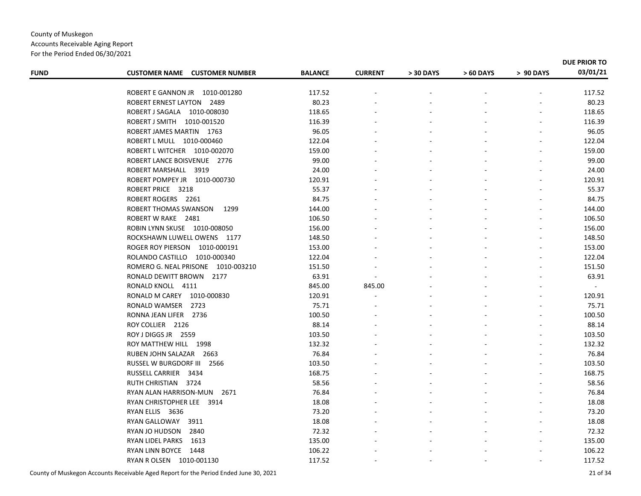#### County of Muskegon Accounts Receivable Aging Report For the Period Ended 06/30/2021

| <b>FUND</b> | <b>CUSTOMER NAME CUSTOMER NUMBER</b> | <b>BALANCE</b> | <b>CURRENT</b> | > 30 DAYS | > 60 DAYS | > 90 DAYS | DUE PRIOR TO<br>03/01/21 |
|-------------|--------------------------------------|----------------|----------------|-----------|-----------|-----------|--------------------------|
|             |                                      |                |                |           |           |           |                          |
|             | ROBERT E GANNON JR 1010-001280       | 117.52         |                |           |           |           | 117.52                   |
|             | ROBERT ERNEST LAYTON 2489            | 80.23          |                |           |           |           | 80.23                    |
|             | ROBERT J SAGALA 1010-008030          | 118.65         |                |           |           |           | 118.65                   |
|             | ROBERT J SMITH 1010-001520           | 116.39         |                |           |           |           | 116.39                   |
|             | ROBERT JAMES MARTIN 1763             | 96.05          |                |           |           |           | 96.05                    |
|             | ROBERT L MULL 1010-000460            | 122.04         |                |           |           |           | 122.04                   |
|             | ROBERT L WITCHER 1010-002070         | 159.00         |                |           |           |           | 159.00                   |
|             | ROBERT LANCE BOISVENUE 2776          | 99.00          |                |           |           |           | 99.00                    |
|             | ROBERT MARSHALL 3919                 | 24.00          |                |           |           |           | 24.00                    |
|             | ROBERT POMPEY JR 1010-000730         | 120.91         |                |           |           |           | 120.91                   |
|             | ROBERT PRICE 3218                    | 55.37          |                |           |           |           | 55.37                    |
|             | ROBERT ROGERS 2261                   | 84.75          |                |           |           |           | 84.75                    |
|             | ROBERT THOMAS SWANSON<br>1299        | 144.00         |                |           |           |           | 144.00                   |
|             | ROBERT W RAKE 2481                   | 106.50         |                |           |           |           | 106.50                   |
|             | ROBIN LYNN SKUSE 1010-008050         | 156.00         |                |           |           |           | 156.00                   |
|             | ROCKSHAWN LUWELL OWENS 1177          | 148.50         |                |           |           |           | 148.50                   |
|             | ROGER ROY PIERSON<br>1010-000191     | 153.00         |                |           |           |           | 153.00                   |
|             | ROLANDO CASTILLO 1010-000340         | 122.04         |                |           |           |           | 122.04                   |
|             | ROMERO G. NEAL PRISONE 1010-003210   | 151.50         |                |           |           |           | 151.50                   |
|             | RONALD DEWITT BROWN 2177             | 63.91          |                |           |           |           | 63.91                    |
|             | RONALD KNOLL 4111                    | 845.00         | 845.00         |           |           |           | $\blacksquare$           |
|             | RONALD M CAREY<br>1010-000830        | 120.91         |                |           |           |           | 120.91                   |
|             | RONALD WAMSER 2723                   | 75.71          |                |           |           |           | 75.71                    |
|             | RONNA JEAN LIFER 2736                | 100.50         |                |           |           |           | 100.50                   |
|             | ROY COLLIER 2126                     | 88.14          |                |           |           |           | 88.14                    |
|             | ROY J DIGGS JR 2559                  | 103.50         |                |           |           |           | 103.50                   |
|             | ROY MATTHEW HILL 1998                | 132.32         |                |           |           |           | 132.32                   |
|             | RUBEN JOHN SALAZAR 2663              | 76.84          |                |           |           |           | 76.84                    |
|             | RUSSEL W BURGDORF III<br>2566        | 103.50         |                |           |           |           | 103.50                   |
|             | RUSSELL CARRIER<br>3434              | 168.75         |                |           |           |           | 168.75                   |
|             | RUTH CHRISTIAN 3724                  | 58.56          |                |           |           |           | 58.56                    |
|             | RYAN ALAN HARRISON-MUN 2671          | 76.84          |                |           |           |           | 76.84                    |
|             | RYAN CHRISTOPHER LEE 3914            | 18.08          |                |           |           |           | 18.08                    |
|             | RYAN ELLIS 3636                      | 73.20          |                |           |           |           | 73.20                    |
|             | RYAN GALLOWAY<br>3911                | 18.08          |                |           |           |           | 18.08                    |
|             | RYAN JO HUDSON<br>2840               | 72.32          |                |           |           |           | 72.32                    |
|             | RYAN LIDEL PARKS<br>1613             | 135.00         |                |           |           |           | 135.00                   |
|             | RYAN LINN BOYCE<br>1448              | 106.22         |                |           |           |           | 106.22                   |
|             | RYAN R OLSEN 1010-001130             | 117.52         |                |           |           |           | 117.52                   |
|             |                                      |                |                |           |           |           |                          |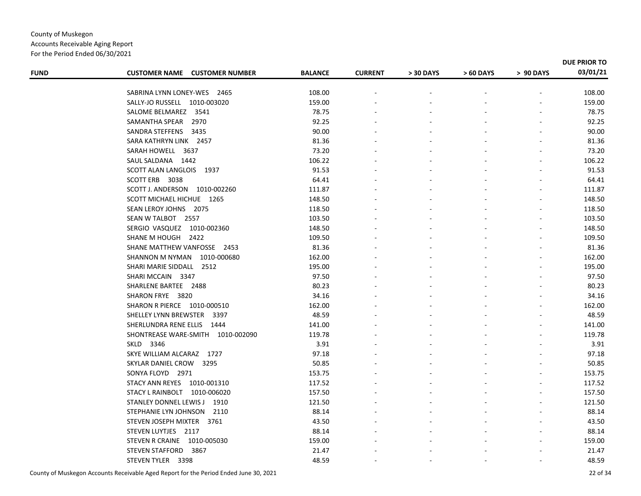#### County of Muskegon Accounts Receivable Aging Report For the Period Ended 06/30/2021

| <b>FUND</b> | <b>CUSTOMER NAME CUSTOMER NUMBER</b> | <b>BALANCE</b>  | <b>CURRENT</b> | > 30 DAYS | > 60 DAYS | > 90 DAYS | DUE PRIOR TO<br>03/01/21 |
|-------------|--------------------------------------|-----------------|----------------|-----------|-----------|-----------|--------------------------|
|             |                                      |                 |                |           |           |           |                          |
|             | SABRINA LYNN LONEY-WES 2465          | 108.00          |                |           |           |           | 108.00                   |
|             | SALLY-JO RUSSELL 1010-003020         | 159.00          |                |           |           |           | 159.00                   |
|             | SALOME BELMAREZ 3541                 | 78.75           |                |           |           |           | 78.75                    |
|             | SAMANTHA SPEAR<br>2970               | 92.25           |                |           |           |           | 92.25                    |
|             | SANDRA STEFFENS 3435                 | 90.00           |                |           |           |           | 90.00                    |
|             | SARA KATHRYN LINK 2457               | 81.36           |                |           |           |           | 81.36                    |
|             | SARAH HOWELL 3637                    | 73.20<br>106.22 |                |           |           |           | 73.20                    |
|             | SAUL SALDANA 1442                    |                 |                |           |           |           | 106.22                   |
|             | SCOTT ALAN LANGLOIS 1937             | 91.53           |                |           |           |           | 91.53                    |
|             | SCOTT ERB 3038                       | 64.41           |                |           |           |           | 64.41                    |
|             | SCOTT J. ANDERSON 1010-002260        | 111.87          |                |           |           |           | 111.87                   |
|             | SCOTT MICHAEL HICHUE 1265            | 148.50          |                |           |           |           | 148.50                   |
|             | SEAN LEROY JOHNS 2075                | 118.50          |                |           |           |           | 118.50                   |
|             | SEAN W TALBOT 2557                   | 103.50          |                |           |           |           | 103.50                   |
|             | SERGIO VASQUEZ 1010-002360           | 148.50          |                |           |           |           | 148.50                   |
|             | SHANE M HOUGH 2422                   | 109.50          |                |           |           |           | 109.50                   |
|             | SHANE MATTHEW VANFOSSE 2453          | 81.36           |                |           |           |           | 81.36                    |
|             | SHANNON M NYMAN 1010-000680          | 162.00          |                |           |           |           | 162.00                   |
|             | SHARI MARIE SIDDALL 2512             | 195.00          |                |           |           |           | 195.00                   |
|             | SHARI MCCAIN 3347                    | 97.50           |                |           |           |           | 97.50                    |
|             | SHARLENE BARTEE 2488                 | 80.23           |                |           |           |           | 80.23                    |
|             | SHARON FRYE 3820                     | 34.16           |                |           |           |           | 34.16                    |
|             | SHARON R PIERCE 1010-000510          | 162.00          |                |           |           |           | 162.00                   |
|             | SHELLEY LYNN BREWSTER 3397           | 48.59           |                |           |           |           | 48.59                    |
|             | SHERLUNDRA RENE ELLIS 1444           | 141.00          |                |           |           |           | 141.00                   |
|             | SHONTREASE WARE-SMITH 1010-002090    | 119.78          |                |           |           |           | 119.78                   |
|             | SKLD 3346                            | 3.91            |                |           |           |           | 3.91                     |
|             | SKYE WILLIAM ALCARAZ 1727            | 97.18           |                |           |           |           | 97.18                    |
|             | SKYLAR DANIEL CROW 3295              | 50.85           |                |           |           |           | 50.85                    |
|             | SONYA FLOYD 2971                     | 153.75          |                |           |           |           | 153.75                   |
|             | STACY ANN REYES  1010-001310         | 117.52          |                |           |           |           | 117.52                   |
|             | STACY L RAINBOLT 1010-006020         | 157.50          |                |           |           |           | 157.50                   |
|             | STANLEY DONNEL LEWIS J 1910          | 121.50          |                |           |           |           | 121.50                   |
|             | STEPHANIE LYN JOHNSON 2110           | 88.14           |                |           |           |           | 88.14                    |
|             | STEVEN JOSEPH MIXTER 3761            | 43.50           |                |           |           |           | 43.50                    |
|             | STEVEN LUYTJES 2117                  | 88.14           |                |           |           |           | 88.14                    |
|             | STEVEN R CRAINE 1010-005030          | 159.00          |                |           |           |           | 159.00                   |
|             | <b>STEVEN STAFFORD</b><br>3867       | 21.47           |                |           |           |           | 21.47                    |
|             | STEVEN TYLER 3398                    | 48.59           |                |           |           |           | 48.59                    |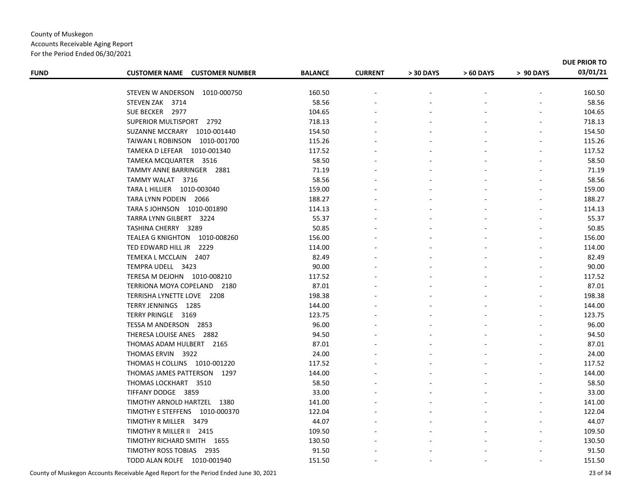| For the Period Ended 06/30/2021 |
|---------------------------------|
|---------------------------------|

| <b>FUND</b> | <b>CUSTOMER NAME CUSTOMER NUMBER</b> | <b>BALANCE</b> | <b>CURRENT</b> | > 30 DAYS | > 60 DAYS | > 90 DAYS | 03/01/21 |
|-------------|--------------------------------------|----------------|----------------|-----------|-----------|-----------|----------|
|             | STEVEN W ANDERSON<br>1010-000750     | 160.50         |                |           |           |           | 160.50   |
|             | STEVEN ZAK 3714                      | 58.56          |                |           |           |           | 58.56    |
|             | SUE BECKER 2977                      | 104.65         |                |           |           |           | 104.65   |
|             | SUPERIOR MULTISPORT 2792             | 718.13         |                |           |           |           | 718.13   |
|             | SUZANNE MCCRARY 1010-001440          | 154.50         |                |           |           |           | 154.50   |
|             | TAIWAN L ROBINSON 1010-001700        | 115.26         |                |           |           |           | 115.26   |
|             | TAMEKA D LEFEAR 1010-001340          | 117.52         |                |           |           |           | 117.52   |
|             | TAMEKA MCQUARTER 3516                | 58.50          |                |           |           |           | 58.50    |
|             | TAMMY ANNE BARRINGER 2881            | 71.19          |                |           |           |           | 71.19    |
|             | TAMMY WALAT 3716                     | 58.56          |                |           |           |           | 58.56    |
|             | TARA L HILLIER  1010-003040          | 159.00         |                |           |           |           | 159.00   |
|             | TARA LYNN PODEIN 2066                | 188.27         |                |           |           |           | 188.27   |
|             | TARA S JOHNSON 1010-001890           | 114.13         |                |           |           |           | 114.13   |
|             | TARRA LYNN GILBERT 3224              | 55.37          |                |           |           |           | 55.37    |
|             | TASHINA CHERRY 3289                  | 50.85          |                |           |           |           | 50.85    |
|             | TEALEA G KNIGHTON 1010-008260        | 156.00         |                |           |           |           | 156.00   |
|             | TED EDWARD HILL JR<br>2229           | 114.00         |                |           |           |           | 114.00   |
|             | TEMEKA L MCCLAIN 2407                | 82.49          |                |           |           |           | 82.49    |
|             | TEMPRA UDELL 3423                    | 90.00          |                |           |           |           | 90.00    |
|             | TERESA M DEJOHN 1010-008210          | 117.52         |                |           |           |           | 117.52   |
|             | TERRIONA MOYA COPELAND 2180          | 87.01          |                |           |           |           | 87.01    |
|             | TERRISHA LYNETTE LOVE 2208           | 198.38         |                |           |           |           | 198.38   |
|             | TERRY JENNINGS 1285                  | 144.00         |                |           |           |           | 144.00   |
|             | TERRY PRINGLE 3169                   | 123.75         |                |           |           |           | 123.75   |
|             | TESSA M ANDERSON 2853                | 96.00          |                |           |           |           | 96.00    |
|             | THERESA LOUISE ANES 2882             | 94.50          |                |           |           |           | 94.50    |
|             | THOMAS ADAM HULBERT 2165             | 87.01          |                |           |           |           | 87.01    |
|             | THOMAS ERVIN 3922                    | 24.00          |                |           |           |           | 24.00    |
|             | THOMAS H COLLINS 1010-001220         | 117.52         |                |           |           |           | 117.52   |
|             | THOMAS JAMES PATTERSON 1297          | 144.00         |                |           |           |           | 144.00   |
|             | THOMAS LOCKHART 3510                 | 58.50          |                |           |           |           | 58.50    |
|             | TIFFANY DODGE 3859                   | 33.00          |                |           |           |           | 33.00    |
|             | TIMOTHY ARNOLD HARTZEL 1380          | 141.00         |                |           |           |           | 141.00   |
|             | TIMOTHY E STEFFENS 1010-000370       | 122.04         |                |           |           |           | 122.04   |
|             | TIMOTHY R MILLER 3479                | 44.07          |                |           |           |           | 44.07    |
|             | TIMOTHY R MILLER II 2415             | 109.50         |                |           |           |           | 109.50   |
|             | TIMOTHY RICHARD SMITH 1655           | 130.50         |                |           |           |           | 130.50   |
|             | TIMOTHY ROSS TOBIAS 2935             | 91.50          |                |           |           |           | 91.50    |
|             | TODD ALAN ROLFE 1010-001940          | 151.50         |                |           |           |           | 151.50   |
|             |                                      |                |                |           |           |           |          |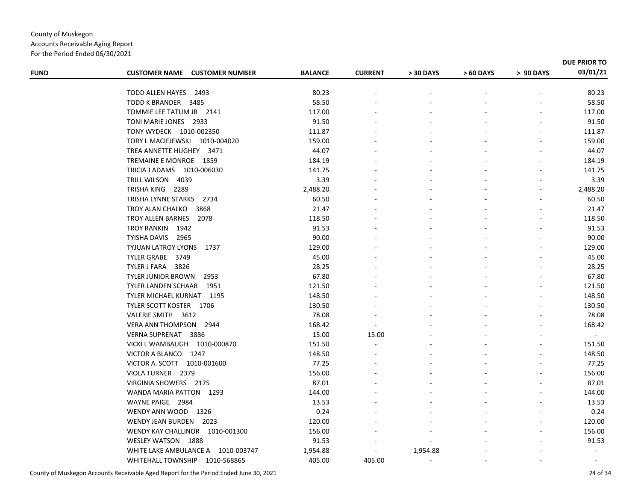For the Period Ended 06/30/2021

|             |                                      |                |                |           |           |           | DUE PRIOR TO |
|-------------|--------------------------------------|----------------|----------------|-----------|-----------|-----------|--------------|
| <b>FUND</b> | <b>CUSTOMER NAME CUSTOMER NUMBER</b> | <b>BALANCE</b> | <b>CURRENT</b> | > 30 DAYS | > 60 DAYS | > 90 DAYS | 03/01/21     |
|             | <b>TODD ALLEN HAYES</b><br>2493      | 80.23          |                |           |           |           | 80.23        |
|             | TODD K BRANDER 3485                  | 58.50          |                |           |           |           | 58.50        |
|             | TOMMIE LEE TATUM JR 2141             | 117.00         |                |           |           |           | 117.00       |
|             | TONI MARIE JONES 2933                | 91.50          |                |           |           |           | 91.50        |
|             | TONY WYDECK 1010-002350              | 111.87         |                |           |           |           | 111.87       |
|             | TORY L MACIEJEWSKI 1010-004020       | 159.00         |                |           |           |           | 159.00       |
|             | TREA ANNETTE HUGHEY 3471             | 44.07          |                |           |           |           | 44.07        |
|             | TREMAINE E MONROE 1859               | 184.19         |                |           |           |           | 184.19       |
|             | TRICIA J ADAMS 1010-006030           | 141.75         |                |           |           |           | 141.75       |
|             | TRILL WILSON 4039                    | 3.39           |                |           |           |           | 3.39         |
|             | TRISHA KING 2289                     | 2,488.20       |                |           |           |           | 2,488.20     |
|             | TRISHA LYNNE STARKS 2734             | 60.50          |                |           |           |           | 60.50        |
|             | TROY ALAN CHALKO<br>3868             | 21.47          |                |           |           |           | 21.47        |
|             | TROY ALLEN BARNES<br>2078            | 118.50         |                |           |           |           | 118.50       |
|             | TROY RANKIN 1942                     | 91.53          |                |           |           |           | 91.53        |
|             | TYISHA DAVIS 2965                    | 90.00          |                |           |           |           | 90.00        |
|             | TYJUAN LATROY LYONS<br>1737          | 129.00         |                |           |           |           | 129.00       |
|             | TYLER GRABE 3749                     | 45.00          |                |           |           |           | 45.00        |
|             | 3826<br>TYLER J FARA                 | 28.25          |                |           |           |           | 28.25        |
|             | TYLER JUNIOR BROWN<br>2953           | 67.80          |                |           |           |           | 67.80        |
|             | TYLER LANDEN SCHAAB<br>1951          | 121.50         |                |           |           |           | 121.50       |
|             | TYLER MICHAEL KURNAT 1195            | 148.50         |                |           |           |           | 148.50       |
|             | TYLER SCOTT KOSTER 1706              | 130.50         |                |           |           |           | 130.50       |
|             | VALERIE SMITH 3612                   | 78.08          |                |           |           |           | 78.08        |
|             | VERA ANN THOMPSON 2944               | 168.42         |                |           |           |           | 168.42       |
|             | VERNA SUPRENAT 3886                  | 15.00          | 15.00          |           |           |           | $\sim$       |
|             | VICKI L WAMBAUGH  1010-000870        | 151.50         |                |           |           |           | 151.50       |
|             | VICTOR A BLANCO<br>1247              | 148.50         |                |           |           |           | 148.50       |
|             | VICTOR A. SCOTT 1010-001600          | 77.25          |                |           |           |           | 77.25        |
|             | VIOLA TURNER 2379                    | 156.00         |                |           |           |           | 156.00       |
|             | VIRGINIA SHOWERS 2175                | 87.01          |                |           |           |           | 87.01        |
|             | WANDA MARIA PATTON 1293              | 144.00         |                |           |           |           | 144.00       |
|             | WAYNE PAIGE 2984                     | 13.53          |                |           |           |           | 13.53        |
|             | WENDY ANN WOOD 1326                  | 0.24           |                |           |           |           | 0.24         |
|             | WENDY JEAN BURDEN 2023               | 120.00         |                |           |           |           | 120.00       |
|             | WENDY KAY CHALLINOR 1010-001300      | 156.00         |                |           |           |           | 156.00       |
|             | WESLEY WATSON 1888                   | 91.53          |                |           |           |           | 91.53        |
|             | WHITE LAKE AMBULANCE A 1010-003747   | 1,954.88       |                | 1,954.88  |           |           | $\sim$       |
|             | WHITEHALL TOWNSHIP<br>1010-568865    | 405.00         | 405.00         | $\sim$    |           |           | $\sim$       |

County of Muskegon Accounts Receivable Aged Report for the Period Ended June 30, 2021 24 of 34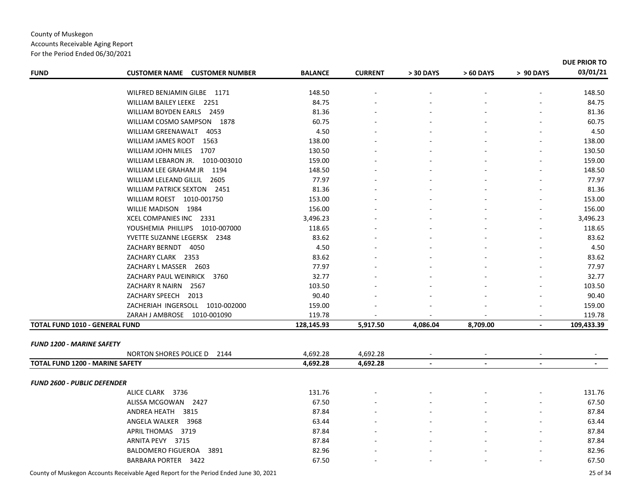#### Accounts Receivable Aging Report For the Period Ended 06/30/2021 FUND CUSTOMER NAME CUSTOMER NUMBER BALANCE CURRENT >30 DAYS >50 DAYS >90 DAYS **DUE PRIOR TO03/01/21** WILFRED BENJAMINN GILBE 1171 148.50 148.50 WILLIAM BAILEY LEEKE 2251 84.75 84.75 WILLIAM BOYDEN EARLS 2459 81.36 ‐ ‐ ‐ ‐ 81.36 WILLIAM COSMO SAMPSON 1878 60.75 ‐ ‐ ‐ ‐ 60.75 WILLIAM GREENAWALT 4053 4.50 ‐ ‐ ‐ ‐ 4.50 WILLIAM JAMES ROOT 1563 138.00 ‐ ‐ ‐ ‐ 138.00 WILLIAM JOHN MILES 1707 130.50 ‐ ‐ ‐ ‐ 130.50 WILLIAM LEBARON JR. 1010‐003010 159.00 ‐ ‐ ‐ ‐ 159.00 WILLIAM LEE GRAHAM JR 1194 148.50 ‐ ‐ ‐ ‐ 148.50 WILLIAM LELEAND GILLIL 2605 77.97 ‐ ‐ ‐ ‐ 77.97 WILLIAM PATRICK SEXTON 2451 81.36 81.36 WILLIAM ROEST 1010‐001750 153.00 ‐ ‐ ‐ ‐ 153.00 WILLIE MADISONN 1984 156.00 156.00 XCEL COMPANIES INC 2331 3,496.23 ‐ ‐ ‐ ‐ 3,496.23 YOUSHEMIA PHILLIPS 1010‐007000 118.65 ‐ ‐ ‐ ‐ 118.65 YVETTE SUZANNE LEGERSK 2348 83.62 ‐ ‐ ‐ ‐ 83.62 ZACHARY BERNDT 4050 4.50 ‐ ‐ ‐ ‐ 4.50 ZACHARY CLARK 2353 83.62 ‐ ‐ ‐ ‐ 83.62 ZACHARY L MASSER 2603 77.97 ‐ ‐ ‐ ‐ 77.97 ZACHARY PAUL WEINRICK 3760 32.77 ‐ ‐ ‐ ‐ 32.77 ZACHARY R NAIRNN 2567 103.50 103.50 ZACHARY SPEECH 2013 90.40 ‐ ‐ ‐ ‐ 90.40 ZACHERIAH INGERSOLL 1010‐002000 159.00 ‐ ‐ ‐ ‐ 159.00 ZARAH J AMBROSE 1010‐001090 119.78 ‐ ‐ ‐ ‐ 119.78 **TOTAL FUND 1010 ‐ GENERAL FUND 128,145.93 5,917.50 4,086.04 ‐ 8,709.00 109,433.39** *FUND 1200 ‐ MARINE SAFETY* NORTON SHORES POLICE D 2144 4,692.28 ‐ 4,692.28 ‐ ‐ ‐ TOTAL FUND 1200 - MARINE SAFETY 4,692.28 4,692.28 -*FUND 2600 ‐ PUBLIC DEFENDER* ALICE CLARKK 3736 131.76 131.76 ALISSA MCGOWANN 2427 67.50 67.50 ANDREA HEATH 3815 87.84 ‐ ‐ ‐ ‐ 87.84 ANGELA WALKER 3968 63.44 ‐ ‐ ‐ ‐ 63.44 APRIL THOMAS 3719 87.84 ‐ ‐ ‐ ‐ 87.84 ARNITA PEVY 3715 A PEVY 3715 87.84 87.84 BALDOMERO FIGUEROA 3891 82.96 ‐ ‐ ‐ ‐ 82.96 BARBARA PORTER 3422 67.50 ‐ ‐ ‐ ‐ 67.50

County of Muskegon Accounts Receivable Aged Report for the Period Ended June 30, 2021 25 of 34

County of Muskegon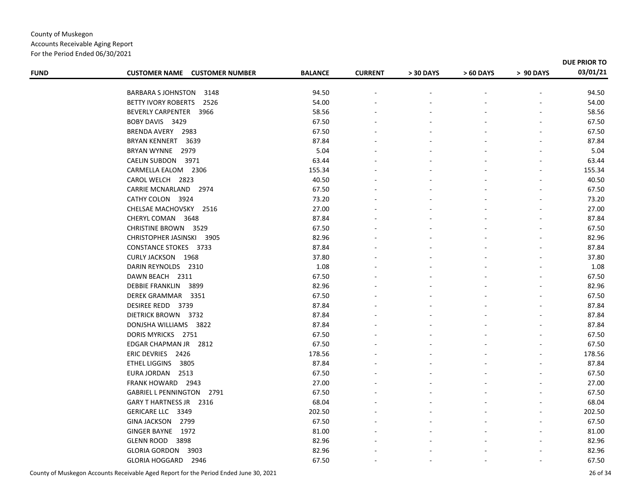Accounts Receivable Aging Report For the Period Ended 06/30/2021

| <b>FUND</b> | <b>CUSTOMER NAME CUSTOMER NUMBER</b>               | <b>BALANCE</b>  | <b>CURRENT</b> | > 30 DAYS | > 60 DAYS | > 90 DAYS | DUE PRIOR TO<br>03/01/21 |
|-------------|----------------------------------------------------|-----------------|----------------|-----------|-----------|-----------|--------------------------|
|             |                                                    | 94.50           |                |           |           |           | 94.50                    |
|             | BARBARA SJOHNSTON 3148<br>BETTY IVORY ROBERTS 2526 | 54.00           |                |           |           |           | 54.00                    |
|             | BEVERLY CARPENTER 3966                             | 58.56           |                |           |           |           | 58.56                    |
|             |                                                    |                 |                |           |           |           |                          |
|             | BOBY DAVIS 3429                                    | 67.50<br>67.50  |                |           |           |           | 67.50<br>67.50           |
|             | BRENDA AVERY 2983                                  |                 |                |           |           |           |                          |
|             | <b>BRYAN KENNERT 3639</b><br>BRYAN WYNNE 2979      | 87.84<br>5.04   |                |           |           |           | 87.84<br>5.04            |
|             | CAELIN SUBDON 3971                                 |                 |                |           |           |           | 63.44                    |
|             |                                                    | 63.44<br>155.34 |                |           |           |           | 155.34                   |
|             | CARMELLA EALOM 2306<br>CAROL WELCH 2823            | 40.50           |                |           |           |           | 40.50                    |
|             |                                                    |                 |                |           |           |           |                          |
|             | CARRIE MCNARLAND<br>2974                           | 67.50           |                |           |           |           | 67.50                    |
|             | CATHY COLON 3924                                   | 73.20           |                |           |           |           | 73.20                    |
|             | CHELSAE MACHOVSKY 2516                             | 27.00           |                |           |           |           | 27.00                    |
|             | CHERYL COMAN 3648                                  | 87.84           |                |           |           |           | 87.84                    |
|             | <b>CHRISTINE BROWN 3529</b>                        | 67.50           |                |           |           |           | 67.50                    |
|             | CHRISTOPHER JASINSKI 3905                          | 82.96           |                |           |           |           | 82.96                    |
|             | <b>CONSTANCE STOKES 3733</b>                       | 87.84           |                |           |           |           | 87.84                    |
|             | <b>CURLY JACKSON 1968</b>                          | 37.80           |                |           |           |           | 37.80                    |
|             | DARIN REYNOLDS 2310                                | 1.08            |                |           |           |           | 1.08                     |
|             | DAWN BEACH 2311                                    | 67.50           |                |           |           |           | 67.50                    |
|             | <b>DEBBIE FRANKLIN</b><br>3899                     | 82.96           |                |           |           |           | 82.96                    |
|             | DEREK GRAMMAR 3351                                 | 67.50           |                |           |           |           | 67.50                    |
|             | DESIREE REDD 3739                                  | 87.84           |                |           |           |           | 87.84                    |
|             | DIETRICK BROWN 3732                                | 87.84           |                |           |           |           | 87.84                    |
|             | DONJSHA WILLIAMS 3822                              | 87.84           |                |           |           |           | 87.84                    |
|             | DORIS MYRICKS 2751                                 | 67.50           |                |           |           |           | 67.50                    |
|             | EDGAR CHAPMAN JR 2812                              | 67.50           |                |           |           |           | 67.50                    |
|             | ERIC DEVRIES 2426                                  | 178.56          |                |           |           |           | 178.56                   |
|             | <b>ETHEL LIGGINS</b><br>3805                       | 87.84           |                |           |           |           | 87.84                    |
|             | EURA JORDAN 2513                                   | 67.50           |                |           |           |           | 67.50                    |
|             | FRANK HOWARD 2943                                  | 27.00           |                |           |           |           | 27.00                    |
|             | GABRIEL L PENNINGTON 2791                          | 67.50           |                |           |           |           | 67.50                    |
|             | GARY THARTNESS JR 2316                             | 68.04           |                |           |           |           | 68.04                    |
|             | GERICARE LLC 3349                                  | 202.50          |                |           |           |           | 202.50                   |
|             | GINA JACKSON 2799                                  | 67.50           |                |           |           |           | 67.50                    |
|             | GINGER BAYNE 1972                                  | 81.00           |                |           |           |           | 81.00                    |
|             | GLENN ROOD 3898                                    | 82.96           |                |           |           |           | 82.96                    |
|             | GLORIA GORDON<br>3903                              | 82.96           |                |           |           |           | 82.96                    |
|             | GLORIA HOGGARD 2946                                | 67.50           |                |           |           | ٠         | 67.50                    |
|             |                                                    |                 |                |           |           |           |                          |

County of Muskegon Accounts Receivable Aged Report for the Period Ended June 30, 2021 26 of 34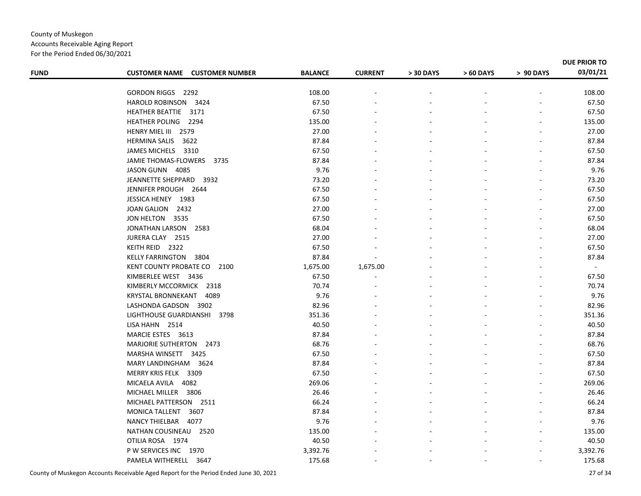For the Period Ended 06/30/2021

| <b>FUND</b> | <b>CUSTOMER NAME CUSTOMER NUMBER</b> | <b>BALANCE</b> | <b>CURRENT</b> | > 30 DAYS | > 60 DAYS | > 90 DAYS | DUE PRIOR TO<br>03/01/21 |
|-------------|--------------------------------------|----------------|----------------|-----------|-----------|-----------|--------------------------|
|             |                                      |                |                |           |           |           |                          |
|             | GORDON RIGGS 2292                    | 108.00         |                |           |           |           | 108.00                   |
|             | HAROLD ROBINSON<br>3424              | 67.50          |                |           |           |           | 67.50                    |
|             | HEATHER BEATTIE 3171                 | 67.50          |                |           |           |           | 67.50                    |
|             | HEATHER POLING 2294                  | 135.00         |                |           |           |           | 135.00                   |
|             | HENRY MIEL III 2579                  | 27.00          |                |           |           |           | 27.00                    |
|             | <b>HERMINA SALIS</b><br>3622         | 87.84          |                |           |           |           | 87.84                    |
|             | JAMES MICHELS 3310                   | 67.50          |                |           |           |           | 67.50                    |
|             | JAMIE THOMAS-FLOWERS 3735            | 87.84          |                |           |           |           | 87.84                    |
|             | JASON GUNN 4085                      | 9.76           |                |           |           |           | 9.76                     |
|             | JEANNETTE SHEPPARD<br>3932           | 73.20          |                |           |           |           | 73.20                    |
|             | JENNIFER PROUGH 2644                 | 67.50          |                |           |           |           | 67.50                    |
|             | JESSICA HENEY 1983                   | 67.50          |                |           |           |           | 67.50                    |
|             | JOAN GALION 2432                     | 27.00          |                |           |           |           | 27.00                    |
|             | JON HELTON 3535                      | 67.50          |                |           |           |           | 67.50                    |
|             | JONATHAN LARSON 2583                 | 68.04          |                |           |           |           | 68.04                    |
|             | JURERA CLAY 2515                     | 27.00          |                |           |           |           | 27.00                    |
|             | KEITH REID 2322                      | 67.50          |                |           |           |           | 67.50                    |
|             | KELLY FARRINGTON 3804                | 87.84          |                |           |           |           | 87.84                    |
|             | KENT COUNTY PROBATE CO<br>2100       | 1,675.00       | 1,675.00       |           |           |           | $\sim$                   |
|             | KIMBERLEE WEST 3436                  | 67.50          |                |           |           |           | 67.50                    |
|             | KIMBERLY MCCORMICK 2318              | 70.74          |                |           |           |           | 70.74                    |
|             | KRYSTAL BRONNEKANT 4089              | 9.76           |                |           |           |           | 9.76                     |
|             | LASHONDA GADSON 3902                 | 82.96          |                |           |           |           | 82.96                    |
|             | LIGHTHOUSE GUARDIANSHI<br>3798       | 351.36         |                |           |           |           | 351.36                   |
|             | LISA HAHN 2514                       | 40.50          |                |           |           |           | 40.50                    |
|             | MARCIE ESTES 3613                    | 87.84          |                |           |           |           | 87.84                    |
|             | MARJORIE SUTHERTON 2473              | 68.76          |                |           |           |           | 68.76                    |
|             | MARSHA WINSETT 3425                  | 67.50          |                |           |           |           | 67.50                    |
|             | MARY LANDINGHAM 3624                 | 87.84          |                |           |           |           | 87.84                    |
|             | MERRY KRIS FELK 3309                 | 67.50          |                |           |           |           | 67.50                    |
|             | MICAELA AVILA 4082                   | 269.06         |                |           |           |           | 269.06                   |
|             | MICHAEL MILLER 3806                  | 26.46          |                |           |           |           | 26.46                    |
|             | MICHAEL PATTERSON 2511               | 66.24          |                |           |           |           | 66.24                    |
|             | MONICA TALLENT 3607                  | 87.84          |                |           |           |           | 87.84                    |
|             | NANCY THIELBAR 4077                  | 9.76           |                |           |           |           | 9.76                     |
|             | NATHAN COUSINEAU 2520                | 135.00         |                |           |           |           | 135.00                   |
|             | OTILIA ROSA 1974                     | 40.50          |                |           |           |           | 40.50                    |
|             | P W SERVICES INC 1970                | 3,392.76       |                |           |           |           | 3,392.76                 |
|             | PAMELA WITHERELL 3647                | 175.68         |                |           |           |           | 175.68                   |
|             |                                      |                |                |           |           |           |                          |

County of Muskegon Accounts Receivable Aged Report for the Period Ended June 30, 2021 27 of 34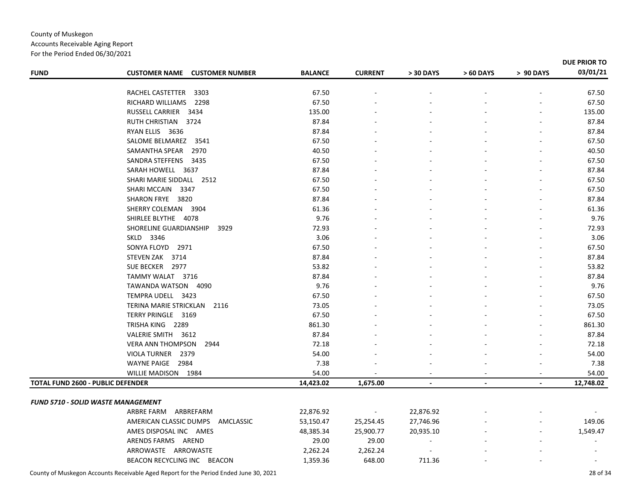Accounts Receivable Aging Report For the Period Ended 06/30/2021

|                                          |                                                |                |                |                |                |                | DUE PRIOR TO |
|------------------------------------------|------------------------------------------------|----------------|----------------|----------------|----------------|----------------|--------------|
| <b>FUND</b>                              | <b>CUSTOMER NUMBER</b><br><b>CUSTOMER NAME</b> | <b>BALANCE</b> | <b>CURRENT</b> | > 30 DAYS      | > 60 DAYS      | > 90 DAYS      | 03/01/21     |
|                                          |                                                |                |                |                |                |                |              |
|                                          | RACHEL CASTETTER<br>3303                       | 67.50          |                |                |                |                | 67.50        |
|                                          | RICHARD WILLIAMS<br>2298                       | 67.50          |                |                |                |                | 67.50        |
|                                          | RUSSELL CARRIER<br>3434                        | 135.00         |                |                |                |                | 135.00       |
|                                          | RUTH CHRISTIAN 3724                            | 87.84          |                |                |                |                | 87.84        |
|                                          | RYAN ELLIS 3636                                | 87.84          |                |                |                |                | 87.84        |
|                                          | SALOME BELMAREZ 3541                           | 67.50          |                |                |                |                | 67.50        |
|                                          | SAMANTHA SPEAR<br>2970                         | 40.50          |                |                |                |                | 40.50        |
|                                          | SANDRA STEFFENS 3435                           | 67.50          |                |                |                |                | 67.50        |
|                                          | SARAH HOWELL 3637                              | 87.84          |                |                |                |                | 87.84        |
|                                          | SHARI MARIE SIDDALL 2512                       | 67.50          |                |                |                |                | 67.50        |
|                                          | SHARI MCCAIN<br>3347                           | 67.50          |                |                |                |                | 67.50        |
|                                          | SHARON FRYE 3820                               | 87.84          |                |                |                |                | 87.84        |
|                                          | SHERRY COLEMAN 3904                            | 61.36          |                |                |                |                | 61.36        |
|                                          | SHIRLEE BLYTHE 4078                            | 9.76           |                |                |                |                | 9.76         |
|                                          | SHORELINE GUARDIANSHIP<br>3929                 | 72.93          |                |                |                |                | 72.93        |
|                                          | SKLD 3346                                      | 3.06           |                |                |                |                | 3.06         |
|                                          | SONYA FLOYD 2971                               | 67.50          |                |                |                |                | 67.50        |
|                                          | STEVEN ZAK 3714                                | 87.84          |                |                |                |                | 87.84        |
|                                          | SUE BECKER 2977                                | 53.82          |                |                |                |                | 53.82        |
|                                          | TAMMY WALAT 3716                               | 87.84          |                |                |                |                | 87.84        |
|                                          | TAWANDA WATSON 4090                            | 9.76           |                |                |                |                | 9.76         |
|                                          | TEMPRA UDELL 3423                              | 67.50          |                |                |                |                | 67.50        |
|                                          | TERINA MARIE STRICKLAN 2116                    | 73.05          |                |                |                |                | 73.05        |
|                                          | TERRY PRINGLE 3169                             | 67.50          |                |                |                |                | 67.50        |
|                                          | TRISHA KING 2289                               | 861.30         |                |                |                |                | 861.30       |
|                                          | VALERIE SMITH 3612                             | 87.84          |                |                |                |                | 87.84        |
|                                          | <b>VERA ANN THOMPSON</b><br>2944               | 72.18          |                |                |                |                | 72.18        |
|                                          | VIOLA TURNER 2379                              | 54.00          |                |                |                |                | 54.00        |
|                                          | WAYNE PAIGE 2984                               | 7.38           |                |                |                |                | 7.38         |
|                                          | WILLIE MADISON 1984                            | 54.00          |                |                |                |                | 54.00        |
| <b>TOTAL FUND 2600 - PUBLIC DEFENDER</b> |                                                | 14,423.02      | 1,675.00       | $\blacksquare$ | $\blacksquare$ | $\blacksquare$ | 12,748.02    |
|                                          |                                                |                |                |                |                |                |              |
|                                          | <b>FUND 5710 - SOLID WASTE MANAGEMENT</b>      |                |                |                |                |                |              |
|                                          | ARBRE FARM ARBREFARM                           | 22,876.92      | $\sim$         | 22,876.92      |                |                |              |
|                                          | AMERICAN CLASSIC DUMPS<br>AMCLASSIC            | 53,150.47      | 25,254.45      | 27,746.96      |                |                | 149.06       |
|                                          | AMES DISPOSAL INC AMES                         | 48,385.34      | 25,900.77      | 20,935.10      |                |                | 1,549.47     |
|                                          | ARENDS FARMS AREND                             | 29.00          | 29.00          |                |                |                |              |
|                                          | ARROWASTE ARROWASTE                            | 2,262.24       | 2,262.24       |                |                |                |              |
|                                          | BEACON RECYCLING INC BEACON                    | 1,359.36       | 648.00         | 711.36         |                |                |              |

County of Muskegon Accounts Receivable Aged Report for the Period Ended June 30, 2021 28 of 34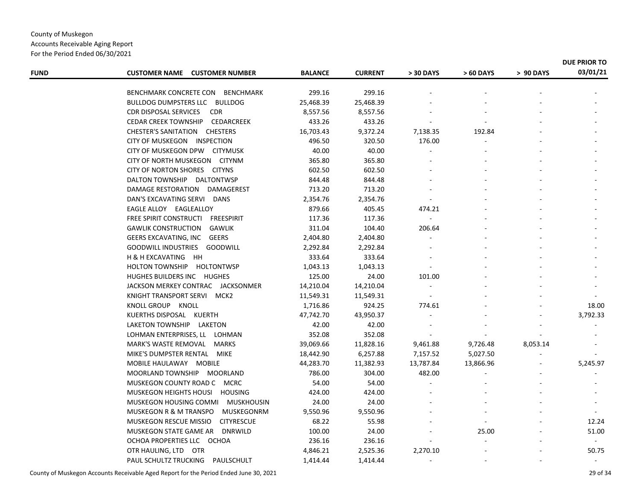For the Period Ended 06/30/2021

| <b>FUND</b> | <b>CUSTOMER NAME CUSTOMER NUMBER</b>               | <b>BALANCE</b> | <b>CURRENT</b> | > 30 DAYS  | > 60 DAYS | > 90 DAYS | 03/01/21 |
|-------------|----------------------------------------------------|----------------|----------------|------------|-----------|-----------|----------|
|             |                                                    |                |                |            |           |           |          |
|             | BENCHMARK CONCRETE CON BENCHMARK                   | 299.16         | 299.16         |            |           |           |          |
|             | BULLDOG DUMPSTERS LLC BULLDOG                      | 25,468.39      | 25,468.39      |            |           |           |          |
|             | CDR DISPOSAL SERVICES<br><b>CDR</b>                | 8,557.56       | 8,557.56       |            |           |           |          |
|             | CEDAR CREEK TOWNSHIP CEDARCREEK                    | 433.26         | 433.26         |            |           |           |          |
|             | CHESTER'S SANITATION CHESTERS                      | 16,703.43      | 9,372.24       | 7,138.35   | 192.84    |           |          |
|             | CITY OF MUSKEGON INSPECTION                        | 496.50         | 320.50         | 176.00     |           |           |          |
|             | CITY OF MUSKEGON DPW CITYMUSK                      | 40.00          | 40.00          |            |           |           |          |
|             | CITY OF NORTH MUSKEGON CITYNM                      | 365.80         | 365.80         |            |           |           |          |
|             | CITY OF NORTON SHORES CITYNS                       | 602.50         | 602.50         |            |           |           |          |
|             | DALTON TOWNSHIP DALTONTWSP                         | 844.48         | 844.48         |            |           |           |          |
|             | DAMAGE RESTORATION DAMAGEREST                      | 713.20         | 713.20         |            |           |           |          |
|             | DAN'S EXCAVATING SERVI DANS                        | 2,354.76       | 2,354.76       |            |           |           |          |
|             | EAGLE ALLOY EAGLEALLOY                             | 879.66         | 405.45         | 474.21     |           |           |          |
|             | FREE SPIRIT CONSTRUCTI FREESPIRIT                  | 117.36         | 117.36         | $\omega$ . |           |           |          |
|             | <b>GAWLIK CONSTRUCTION</b><br>GAWLIK               | 311.04         | 104.40         | 206.64     |           |           |          |
|             | GEERS EXCAVATING, INC GEERS                        | 2,404.80       | 2,404.80       |            |           |           |          |
|             | GOODWILL INDUSTRIES GOODWILL                       | 2,292.84       | 2,292.84       |            |           |           |          |
|             | H & H EXCAVATING HH                                | 333.64         | 333.64         |            |           |           |          |
|             | HOLTON TOWNSHIP HOLTONTWSP                         | 1,043.13       | 1,043.13       |            |           |           |          |
|             | HUGHES BUILDERS INC HUGHES                         | 125.00         | 24.00          | 101.00     |           |           |          |
|             | JACKSON MERKEY CONTRAC JACKSONMER                  | 14,210.04      | 14,210.04      |            |           |           |          |
|             | KNIGHT TRANSPORT SERVI MCK2                        | 11,549.31      | 11,549.31      |            |           |           |          |
|             | KNOLL GROUP KNOLL                                  | 1,716.86       | 924.25         | 774.61     |           |           | 18.00    |
|             | KUERTHS DISPOSAL KUERTH                            | 47,742.70      | 43,950.37      |            |           |           | 3,792.33 |
|             | LAKETON TOWNSHIP LAKETON                           | 42.00          | 42.00          |            |           |           |          |
|             | LOHMAN ENTERPRISES, LL LOHMAN                      | 352.08         | 352.08         |            |           |           |          |
|             | MARK'S WASTE REMOVAL MARKS                         | 39,069.66      | 11,828.16      | 9,461.88   | 9,726.48  | 8,053.14  |          |
|             | MIKE'S DUMPSTER RENTAL MIKE                        | 18,442.90      | 6,257.88       | 7,157.52   | 5,027.50  |           |          |
|             | MOBILE HAULAWAY MOBILE                             | 44,283.70      | 11,382.93      | 13,787.84  | 13,866.96 |           | 5,245.97 |
|             | MOORLAND TOWNSHIP MOORLAND                         | 786.00         | 304.00         | 482.00     |           |           |          |
|             | MUSKEGON COUNTY ROAD C MCRC                        | 54.00          | 54.00          |            |           |           |          |
|             | MUSKEGON HEIGHTS HOUSI HOUSING                     | 424.00         | 424.00         |            |           |           |          |
|             | MUSKEGON HOUSING COMMI MUSKHOUSIN                  | 24.00          | 24.00          |            |           |           |          |
|             | MUSKEGONRM<br>MUSKEGON R & M TRANSPO               | 9,550.96       | 9,550.96       |            |           |           |          |
|             | <b>MUSKEGON RESCUE MISSIO</b><br><b>CITYRESCUE</b> | 68.22          | 55.98          |            |           |           | 12.24    |
|             | <b>DNRWILD</b><br>MUSKEGON STATE GAME AR           | 100.00         | 24.00          |            | 25.00     |           | 51.00    |
|             | OCHOA PROPERTIES LLC OCHOA                         | 236.16         | 236.16         |            |           |           |          |
|             | OTR HAULING, LTD OTR                               | 4,846.21       | 2,525.36       | 2,270.10   |           |           | 50.75    |
|             |                                                    |                |                |            |           |           |          |

PAUL SCHULTZ TRUCKING PAULSCHULT 1,414.44 ‐ 1,414.44 ‐ ‐ ‐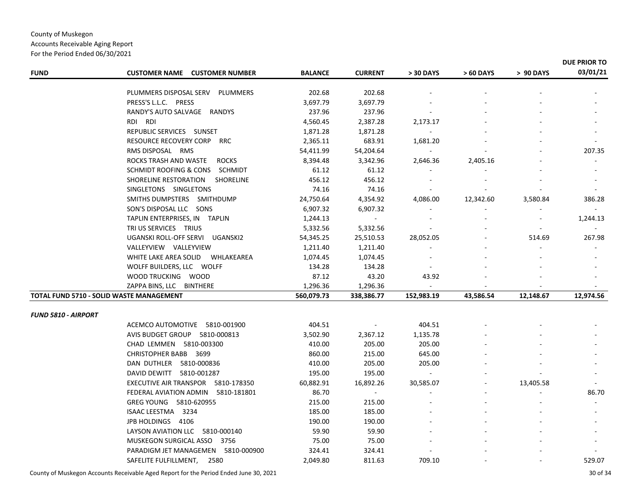#### Accounts Receivable Aging Report For the Period Ended 06/30/2021 **FUND CUSTOMER NAME NAME CUSTOMER NUMBER BALANCE CURRENT <sup>&</sup>gt; 30 DAYS <sup>&</sup>gt; 60 DAYS <sup>&</sup>gt; 90 DAYS DUE PRIOR TO03/01/21** PLUMMERS DISPOSAL SERVV PLUMMERS 202.68 202.68 - - - -PRESS'S L.L.C. PRESS L.L.C. PRESS 3,697.79 ‐ 3,697.79 ‐ ‐ ‐ RANDY'S AUTO SALVAGE RANDYS 237.96 ‐ 237.96 ‐ ‐ ‐ RDI RDI RDI 4,560.45 2,387.28 ‐ 2,173.17 ‐ ‐ REPUBLIC SERVICES SUNSET 1,871.28 ‐ 1,871.28 ‐ ‐ ‐ RESOURCE RECOVERY CORPP RRC 2,365.11 683.91 1,681.20 -RMS DISPOSAL RMS DISPOSAL RMS 54,411.99 ‐ 54,204.64 ‐ ‐ 207.35 ROCKS TRASH AND WASTE ROCKS 8,394.48 3,342.96 2,646.36 ‐ 2,405.16 ‐ SCHMIDT ROOFING & CONS SCHMIDT 61.12 ‐ 61.12 ‐ ‐ ‐ SHORELINE RESTORATIONN SHORELINE 456.12 456.12 - - -SINGLETONS SINGLETONS 74.16 ‐ 74.16 ‐ ‐ ‐ SMITHS DUMPSTERS SMITHDUMP 24,750.64 4,354.92 4,086.00 12,342.60 3,580.84 386.28 SON'S DISPOSAL LLCC SONS 6,907.32 6,907.32 - - -TAPLIN ENTERPRISES, IN TAPLIN 1,244.13 ‐ ‐ ‐ ‐ 1,244.13 TRI US SERVICES TRIUS 5,332.56 ‐ 5,332.56 ‐ ‐ ‐ UGANSKI ROLL‐OFF SERVI UGANSKI2 54,345.25 25,510.53 ‐ 28,052.05 514.69 267.98 VALLEYVIEW VALLEYVIEW 1,211.40 ‐ 1,211.40 ‐ ‐ ‐ WHITE LAKE AREA SOLID WHLAKEAREA 1,074.45 1,074.45 -WOLFF BUILDERS, LLC WOLFF 134.28 ‐ 134.28 ‐ ‐ ‐ WOOD TRUCKINGG WOOD 87.12 43.20 43.92 - -ZAPPA BINS, LLC BINTHERE 1,296.36 ‐ 1,296.36 ‐ ‐ ‐ **TOTAL FUND 5710 ‐ SOLID WASTE MANAGEMENT 560,079.73 338,386.77 152,983.19 43,586.54 12,148.67 12,974.56** *FUND 5810 ‐ AIRPORT* ACEMCO AUTOMOTIVE 5810‐001900 404.51 ‐ ‐ 404.51 ‐ ‐ AVIS BUDGET GROUP 5810‐000813 3,502.90 2,367.12 ‐ 1,135.78 ‐ ‐ CHAD LEMMEN 5810‐003300 410.00 205.00 ‐ 205.00 ‐ ‐ CHRISTOPHER BABB 3699 860.00 215.00 ‐ 645.00 ‐ ‐ DAN DUTHLER 5810‐000836 410.00 205.00 ‐ 205.00 ‐ ‐ DAVID DEWITT 5810-001287 195.00 195.00 - -EXECUTIVE AIR TRANSPOR 5810‐178350 60,882.91 16,892.26 ‐ 30,585.07 ‐ 13,405.58 FEDERAL AVIATION ADMIN 5810‐181801 86.70 ‐ ‐ ‐ ‐ 86.70 GREG YOUNG 5810‐620955 215.00 ‐ 215.00 ‐ ‐ ‐ ISAAC LEESTMAA 3234 185.00 185.00 - - - -JPB HOLDINGS 4106 190.00 ‐ 190.00 ‐ ‐ ‐ LAYSON AVIATION LLC 5810‐000140 59.90 ‐ 59.90 ‐ ‐ ‐ MUSKEGON SURGICAL ASSO0 3756 75.00 75.00 - -PARADIGM JET MANAGEMEN 5810-000900 324.41 324.41 - - -

SAFELITE FULFILLMENT, 2580 2,049.80 811.63 ‐ 709.10 ‐ 529.07

County of Muskegon Accounts Receivable Aged Report for the Period Ended June 30, 2021 30 of 34

County of Muskegon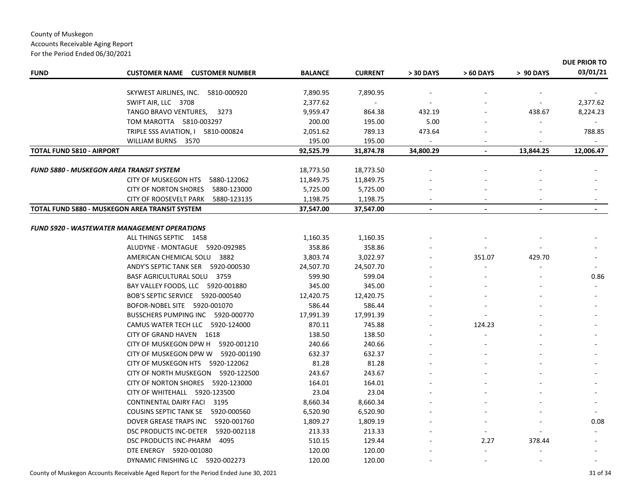#### County of Muskegon Accounts Receivable Aging Report For the Period Ended 06/30/2021

| <b>FUND</b><br><b>CUSTOMER NAME</b><br><b>CUSTOMER NUMBER</b><br><b>BALANCE</b><br><b>CURRENT</b><br>> 30 DAYS<br>> 60 DAYS<br>> 90 DAYS<br>SKYWEST AIRLINES, INC. 5810-000920<br>7,890.95<br>7,890.95<br>SWIFT AIR, LLC 3708<br>2,377.62<br>432.19<br>TANGO BRAVO VENTURES,<br>3273<br>9,959.47<br>864.38<br>438.67<br>5.00<br>TOM MAROTTA 5810-003297<br>200.00<br>195.00<br>789.13<br>TRIPLE SSS AVIATION, I 5810-000824<br>2,051.62<br>473.64<br>195.00<br>195.00<br>WILLIAM BURNS 3570<br><b>TOTAL FUND 5810 - AIRPORT</b><br>92,525.79<br>31,874.78<br>34,800.29<br>13,844.25<br>$\blacksquare$<br>FUND 5880 - MUSKEGON AREA TRANSIT SYSTEM<br>18,773.50<br>18,773.50<br><b>CITY OF MUSKEGON HTS</b><br>5880-122062<br>11,849.75<br>11,849.75<br>5880-123000<br>5,725.00<br><b>CITY OF NORTON SHORES</b><br>5,725.00<br><b>CITY OF ROOSEVELT PARK</b><br>5880-123135<br>1,198.75<br>1,198.75<br>TOTAL FUND 5880 - MUSKEGON AREA TRANSIT SYSTEM<br>37,547.00<br>37,547.00<br>$\blacksquare$<br>$\blacksquare$ |           |
|--------------------------------------------------------------------------------------------------------------------------------------------------------------------------------------------------------------------------------------------------------------------------------------------------------------------------------------------------------------------------------------------------------------------------------------------------------------------------------------------------------------------------------------------------------------------------------------------------------------------------------------------------------------------------------------------------------------------------------------------------------------------------------------------------------------------------------------------------------------------------------------------------------------------------------------------------------------------------------------------------------------------|-----------|
|                                                                                                                                                                                                                                                                                                                                                                                                                                                                                                                                                                                                                                                                                                                                                                                                                                                                                                                                                                                                                    | 03/01/21  |
|                                                                                                                                                                                                                                                                                                                                                                                                                                                                                                                                                                                                                                                                                                                                                                                                                                                                                                                                                                                                                    |           |
|                                                                                                                                                                                                                                                                                                                                                                                                                                                                                                                                                                                                                                                                                                                                                                                                                                                                                                                                                                                                                    | 2,377.62  |
|                                                                                                                                                                                                                                                                                                                                                                                                                                                                                                                                                                                                                                                                                                                                                                                                                                                                                                                                                                                                                    | 8,224.23  |
|                                                                                                                                                                                                                                                                                                                                                                                                                                                                                                                                                                                                                                                                                                                                                                                                                                                                                                                                                                                                                    |           |
|                                                                                                                                                                                                                                                                                                                                                                                                                                                                                                                                                                                                                                                                                                                                                                                                                                                                                                                                                                                                                    | 788.85    |
|                                                                                                                                                                                                                                                                                                                                                                                                                                                                                                                                                                                                                                                                                                                                                                                                                                                                                                                                                                                                                    |           |
|                                                                                                                                                                                                                                                                                                                                                                                                                                                                                                                                                                                                                                                                                                                                                                                                                                                                                                                                                                                                                    | 12,006.47 |
|                                                                                                                                                                                                                                                                                                                                                                                                                                                                                                                                                                                                                                                                                                                                                                                                                                                                                                                                                                                                                    |           |
|                                                                                                                                                                                                                                                                                                                                                                                                                                                                                                                                                                                                                                                                                                                                                                                                                                                                                                                                                                                                                    |           |
|                                                                                                                                                                                                                                                                                                                                                                                                                                                                                                                                                                                                                                                                                                                                                                                                                                                                                                                                                                                                                    |           |
|                                                                                                                                                                                                                                                                                                                                                                                                                                                                                                                                                                                                                                                                                                                                                                                                                                                                                                                                                                                                                    |           |
|                                                                                                                                                                                                                                                                                                                                                                                                                                                                                                                                                                                                                                                                                                                                                                                                                                                                                                                                                                                                                    |           |
|                                                                                                                                                                                                                                                                                                                                                                                                                                                                                                                                                                                                                                                                                                                                                                                                                                                                                                                                                                                                                    |           |
| FUND 5920 - WASTEWATER MANAGEMENT OPERATIONS                                                                                                                                                                                                                                                                                                                                                                                                                                                                                                                                                                                                                                                                                                                                                                                                                                                                                                                                                                       |           |
| 1,160.35<br>1,160.35<br>ALL THINGS SEPTIC 1458                                                                                                                                                                                                                                                                                                                                                                                                                                                                                                                                                                                                                                                                                                                                                                                                                                                                                                                                                                     |           |
| 358.86<br>358.86<br>ALUDYNE - MONTAGUE 5920-092985                                                                                                                                                                                                                                                                                                                                                                                                                                                                                                                                                                                                                                                                                                                                                                                                                                                                                                                                                                 |           |
| AMERICAN CHEMICAL SOLU 3882<br>3,803.74<br>3,022.97<br>429.70<br>351.07                                                                                                                                                                                                                                                                                                                                                                                                                                                                                                                                                                                                                                                                                                                                                                                                                                                                                                                                            |           |
| ANDY'S SEPTIC TANK SER<br>5920-000530<br>24,507.70<br>24,507.70                                                                                                                                                                                                                                                                                                                                                                                                                                                                                                                                                                                                                                                                                                                                                                                                                                                                                                                                                    |           |
| 599.04<br>BASF AGRICULTURAL SOLU 3759<br>599.90                                                                                                                                                                                                                                                                                                                                                                                                                                                                                                                                                                                                                                                                                                                                                                                                                                                                                                                                                                    | 0.86      |
| 345.00<br>BAY VALLEY FOODS, LLC 5920-001880<br>345.00                                                                                                                                                                                                                                                                                                                                                                                                                                                                                                                                                                                                                                                                                                                                                                                                                                                                                                                                                              |           |
| 12,420.75<br>BOB'S SEPTIC SERVICE 5920-000540<br>12,420.75                                                                                                                                                                                                                                                                                                                                                                                                                                                                                                                                                                                                                                                                                                                                                                                                                                                                                                                                                         |           |
| BOFOR-NOBEL SITE 5920-001070<br>586.44<br>586.44                                                                                                                                                                                                                                                                                                                                                                                                                                                                                                                                                                                                                                                                                                                                                                                                                                                                                                                                                                   |           |
| BUSSCHERS PUMPING INC 5920-000770<br>17,991.39<br>17,991.39                                                                                                                                                                                                                                                                                                                                                                                                                                                                                                                                                                                                                                                                                                                                                                                                                                                                                                                                                        |           |
| CAMUS WATER TECH LLC 5920-124000<br>870.11<br>745.88<br>124.23                                                                                                                                                                                                                                                                                                                                                                                                                                                                                                                                                                                                                                                                                                                                                                                                                                                                                                                                                     |           |
| CITY OF GRAND HAVEN 1618<br>138.50<br>138.50                                                                                                                                                                                                                                                                                                                                                                                                                                                                                                                                                                                                                                                                                                                                                                                                                                                                                                                                                                       |           |
| CITY OF MUSKEGON DPW H 5920-001210<br>240.66<br>240.66                                                                                                                                                                                                                                                                                                                                                                                                                                                                                                                                                                                                                                                                                                                                                                                                                                                                                                                                                             |           |
| CITY OF MUSKEGON DPW W 5920-001190<br>632.37<br>632.37                                                                                                                                                                                                                                                                                                                                                                                                                                                                                                                                                                                                                                                                                                                                                                                                                                                                                                                                                             |           |
| 81.28<br>81.28<br>CITY OF MUSKEGON HTS 5920-122062                                                                                                                                                                                                                                                                                                                                                                                                                                                                                                                                                                                                                                                                                                                                                                                                                                                                                                                                                                 |           |
| 243.67<br>243.67<br>CITY OF NORTH MUSKEGON<br>5920-122500                                                                                                                                                                                                                                                                                                                                                                                                                                                                                                                                                                                                                                                                                                                                                                                                                                                                                                                                                          |           |
| CITY OF NORTON SHORES 5920-123000<br>164.01<br>164.01                                                                                                                                                                                                                                                                                                                                                                                                                                                                                                                                                                                                                                                                                                                                                                                                                                                                                                                                                              |           |
| CITY OF WHITEHALL 5920-123500<br>23.04<br>23.04                                                                                                                                                                                                                                                                                                                                                                                                                                                                                                                                                                                                                                                                                                                                                                                                                                                                                                                                                                    |           |
| CONTINENTAL DAIRY FACI<br>3195<br>8,660.34<br>8,660.34                                                                                                                                                                                                                                                                                                                                                                                                                                                                                                                                                                                                                                                                                                                                                                                                                                                                                                                                                             |           |
| <b>COUSINS SEPTIC TANK SE</b><br>5920-000560<br>6,520.90<br>6,520.90                                                                                                                                                                                                                                                                                                                                                                                                                                                                                                                                                                                                                                                                                                                                                                                                                                                                                                                                               |           |
| DOVER GREASE TRAPS INC<br>5920-001760<br>1,809.27<br>1,809.19                                                                                                                                                                                                                                                                                                                                                                                                                                                                                                                                                                                                                                                                                                                                                                                                                                                                                                                                                      | 0.08      |
| 213.33<br>DSC PRODUCTS INC-DETER<br>5920-002118<br>213.33                                                                                                                                                                                                                                                                                                                                                                                                                                                                                                                                                                                                                                                                                                                                                                                                                                                                                                                                                          |           |
| DSC PRODUCTS INC-PHARM<br>4095<br>510.15<br>129.44<br>2.27<br>378.44                                                                                                                                                                                                                                                                                                                                                                                                                                                                                                                                                                                                                                                                                                                                                                                                                                                                                                                                               |           |
| DTE ENERGY 5920-001080<br>120.00<br>120.00                                                                                                                                                                                                                                                                                                                                                                                                                                                                                                                                                                                                                                                                                                                                                                                                                                                                                                                                                                         |           |
| DYNAMIC FINISHING LC 5920-002273<br>120.00<br>120.00                                                                                                                                                                                                                                                                                                                                                                                                                                                                                                                                                                                                                                                                                                                                                                                                                                                                                                                                                               |           |

County of Muskegon Accounts Receivable Aged Report for the Period Ended June 30, 2021 31 of 34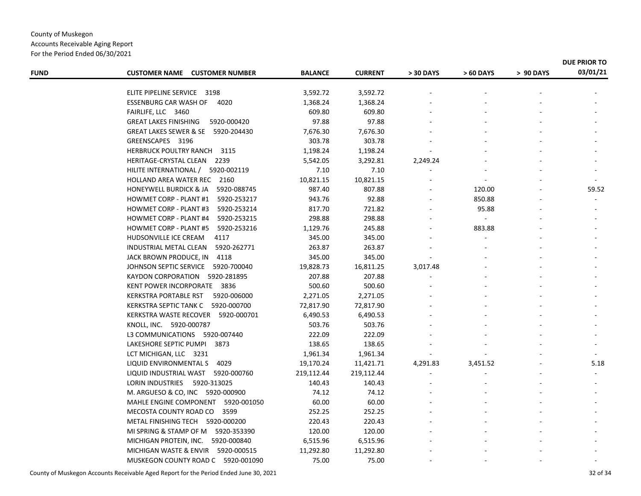Accounts Receivable Aging Report For the Period Ended 06/30/2021

| <b>FUND</b> | <b>CUSTOMER NAME CUSTOMER NUMBER</b>             | <b>BALANCE</b> | <b>CURRENT</b> | > 30 DAYS | > 60 DAYS | > 90 DAYS | 03/01/21 |
|-------------|--------------------------------------------------|----------------|----------------|-----------|-----------|-----------|----------|
|             |                                                  |                |                |           |           |           |          |
|             | ELITE PIPELINE SERVICE 3198                      | 3,592.72       | 3,592.72       |           |           |           |          |
|             | <b>ESSENBURG CAR WASH OF</b><br>4020             | 1,368.24       | 1,368.24       |           |           |           |          |
|             | FAIRLIFE, LLC 3460                               | 609.80         | 609.80         |           |           |           |          |
|             | <b>GREAT LAKES FINISHING</b><br>5920-000420      | 97.88          | 97.88          |           |           |           |          |
|             | GREAT LAKES SEWER & SE 5920-204430               | 7,676.30       | 7,676.30       |           |           |           |          |
|             | GREENSCAPES 3196                                 | 303.78         | 303.78         |           |           |           |          |
|             | HERBRUCK POULTRY RANCH 3115                      | 1,198.24       | 1,198.24       |           |           |           |          |
|             | HERITAGE-CRYSTAL CLEAN 2239                      | 5,542.05       | 3,292.81       | 2,249.24  |           |           |          |
|             | HILITE INTERNATIONAL / 5920-002119               | 7.10           | 7.10           |           |           |           |          |
|             | HOLLAND AREA WATER REC 2160                      | 10,821.15      | 10,821.15      |           |           |           |          |
|             | 5920-088745<br><b>HONEYWELL BURDICK &amp; JA</b> | 987.40         | 807.88         |           | 120.00    |           | 59.52    |
|             | 5920-253217<br><b>HOWMET CORP - PLANT #1</b>     | 943.76         | 92.88          |           | 850.88    |           |          |
|             | <b>HOWMET CORP - PLANT #3</b><br>5920-253214     | 817.70         | 721.82         |           | 95.88     |           |          |
|             | <b>HOWMET CORP - PLANT #4</b><br>5920-253215     | 298.88         | 298.88         |           |           |           |          |
|             | <b>HOWMET CORP - PLANT #5</b><br>5920-253216     | 1,129.76       | 245.88         |           | 883.88    |           |          |
|             | HUDSONVILLE ICE CREAM<br>4117                    | 345.00         | 345.00         |           |           |           |          |
|             | 5920-262771<br>INDUSTRIAL METAL CLEAN            | 263.87         | 263.87         |           |           |           |          |
|             | JACK BROWN PRODUCE, IN 4118                      | 345.00         | 345.00         |           |           |           |          |
|             | JOHNSON SEPTIC SERVICE<br>5920-700040            | 19,828.73      | 16,811.25      | 3,017.48  |           |           |          |
|             | KAYDON CORPORATION 5920-281895                   | 207.88         | 207.88         |           |           |           |          |
|             | KENT POWER INCORPORATE 3836                      | 500.60         | 500.60         |           |           |           |          |
|             | KERKSTRA PORTABLE RST<br>5920-006000             | 2,271.05       | 2,271.05       |           |           |           |          |
|             | KERKSTRA SEPTIC TANK C 5920-000700               | 72,817.90      | 72,817.90      |           |           |           |          |
|             | KERKSTRA WASTE RECOVER 5920-000701               | 6,490.53       | 6,490.53       |           |           |           |          |
|             | KNOLL, INC. 5920-000787                          | 503.76         | 503.76         |           |           |           |          |
|             | L3 COMMUNICATIONS 5920-007440                    | 222.09         | 222.09         |           |           |           |          |
|             | LAKESHORE SEPTIC PUMPI 3873                      | 138.65         | 138.65         |           |           |           |          |
|             | LCT MICHIGAN, LLC 3231                           | 1,961.34       | 1,961.34       |           |           |           |          |
|             | LIQUID ENVIRONMENTAL S 4029                      | 19,170.24      | 11,421.71      | 4,291.83  | 3,451.52  |           | 5.18     |
|             | LIQUID INDUSTRIAL WAST 5920-000760               | 219,112.44     | 219,112.44     |           |           |           |          |
|             | LORIN INDUSTRIES<br>5920-313025                  | 140.43         | 140.43         |           |           |           |          |
|             | M. ARGUESO & CO, INC 5920-000900                 | 74.12          | 74.12          |           |           |           |          |
|             | MAHLE ENGINE COMPONENT 5920-001050               | 60.00          | 60.00          |           |           |           |          |
|             | 3599<br>MECOSTA COUNTY ROAD CO                   | 252.25         | 252.25         |           |           |           |          |
|             | METAL FINISHING TECH 5920-000200                 | 220.43         | 220.43         |           |           |           |          |
|             | MI SPRING & STAMP OF M 5920-353390               | 120.00         | 120.00         |           |           |           |          |
|             | MICHIGAN PROTEIN, INC.<br>5920-000840            | 6,515.96       | 6,515.96       |           |           |           |          |
|             | MICHIGAN WASTE & ENVIR<br>5920-000515            | 11,292.80      | 11,292.80      |           |           |           |          |
|             | MUSKEGON COUNTY ROAD C 5920-001090               | 75.00          | 75.00          |           |           |           |          |
|             |                                                  |                |                |           |           |           |          |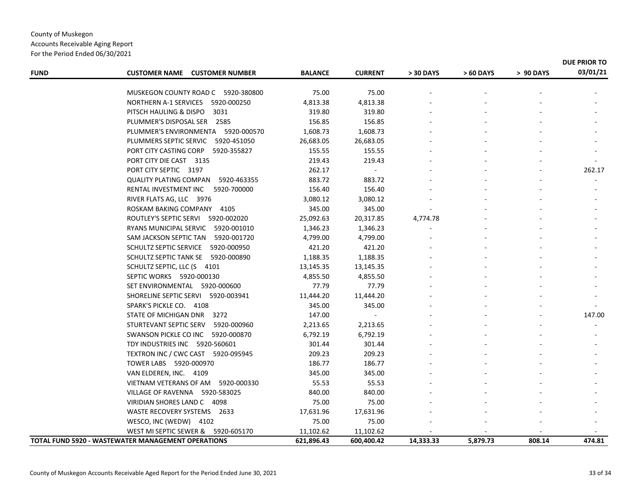Accounts Receivable Aging Report For the Period Ended 06/30/2021

| <b>FUND</b> | <b>CUSTOMER NAME CUSTOMER NUMBER</b>                      | <b>BALANCE</b> | <b>CURRENT</b> | > 30 DAYS | > 60 DAYS | > 90 DAYS | 03/01/21 |
|-------------|-----------------------------------------------------------|----------------|----------------|-----------|-----------|-----------|----------|
|             |                                                           |                |                |           |           |           |          |
|             | MUSKEGON COUNTY ROAD C 5920-380800                        | 75.00          | 75.00          |           |           |           |          |
|             | NORTHERN A-1 SERVICES 5920-000250                         | 4,813.38       | 4,813.38       |           |           |           |          |
|             | PITSCH HAULING & DISPO<br>3031                            | 319.80         | 319.80         |           |           |           |          |
|             | PLUMMER'S DISPOSAL SER 2585                               | 156.85         | 156.85         |           |           |           |          |
|             | PLUMMER'S ENVIRONMENTA 5920-000570                        | 1,608.73       | 1,608.73       |           |           |           |          |
|             | PLUMMERS SEPTIC SERVIC 5920-451050                        | 26,683.05      | 26,683.05      |           |           |           |          |
|             | PORT CITY CASTING CORP 5920-355827                        | 155.55         | 155.55         |           |           |           |          |
|             | PORT CITY DIE CAST 3135                                   | 219.43         | 219.43         |           |           |           |          |
|             | PORT CITY SEPTIC 3197                                     | 262.17         | $\sim$         |           |           |           | 262.17   |
|             | QUALITY PLATING COMPAN 5920-463355                        | 883.72         | 883.72         |           |           |           |          |
|             | RENTAL INVESTMENT INC<br>5920-700000                      | 156.40         | 156.40         |           |           |           |          |
|             | RIVER FLATS AG, LLC 3976                                  | 3,080.12       | 3,080.12       |           |           |           |          |
|             | ROSKAM BAKING COMPANY 4105                                | 345.00         | 345.00         |           |           |           |          |
|             | ROUTLEY'S SEPTIC SERVI 5920-002020                        | 25,092.63      | 20,317.85      | 4,774.78  |           |           |          |
|             | RYANS MUNICIPAL SERVIC 5920-001010                        | 1,346.23       | 1,346.23       |           |           |           |          |
|             | SAM JACKSON SEPTIC TAN<br>5920-001720                     | 4,799.00       | 4,799.00       |           |           |           |          |
|             | SCHULTZ SEPTIC SERVICE<br>5920-000950                     | 421.20         | 421.20         |           |           |           |          |
|             | SCHULTZ SEPTIC TANK SE 5920-000890                        | 1,188.35       | 1,188.35       |           |           |           |          |
|             | SCHULTZ SEPTIC, LLC (S 4101                               | 13,145.35      | 13,145.35      |           |           |           |          |
|             | SEPTIC WORKS 5920-000130                                  | 4,855.50       | 4,855.50       |           |           |           |          |
|             | SET ENVIRONMENTAL 5920-000600                             | 77.79          | 77.79          |           |           |           |          |
|             | SHORELINE SEPTIC SERVI 5920-003941                        | 11,444.20      | 11,444.20      |           |           |           |          |
|             | SPARK'S PICKLE CO. 4108                                   | 345.00         | 345.00         |           |           |           |          |
|             | STATE OF MICHIGAN DNR 3272                                | 147.00         | $\sim$         |           |           |           | 147.00   |
|             | STURTEVANT SEPTIC SERV<br>5920-000960                     | 2,213.65       | 2,213.65       |           |           |           | $\sim$   |
|             | SWANSON PICKLE CO INC 5920-000870                         | 6,792.19       | 6,792.19       |           |           |           |          |
|             | TDY INDUSTRIES INC 5920-560601                            | 301.44         | 301.44         |           |           |           |          |
|             | TEXTRON INC / CWC CAST 5920-095945                        | 209.23         | 209.23         |           |           |           |          |
|             | TOWER LABS 5920-000970                                    | 186.77         | 186.77         |           |           |           |          |
|             | VAN ELDEREN, INC. 4109                                    | 345.00         | 345.00         |           |           |           |          |
|             | VIETNAM VETERANS OF AM 5920-000330                        | 55.53          | 55.53          |           |           |           |          |
|             | VILLAGE OF RAVENNA 5920-583025                            | 840.00         | 840.00         |           |           |           |          |
|             | VIRIDIAN SHORES LAND C 4098                               | 75.00          | 75.00          |           |           |           |          |
|             | WASTE RECOVERY SYSTEMS 2633                               | 17,631.96      | 17,631.96      |           |           |           |          |
|             | WESCO, INC (WEDW) 4102                                    | 75.00          | 75.00          |           |           |           |          |
|             | WEST MI SEPTIC SEWER & 5920-605170                        | 11,102.62      | 11,102.62      |           |           |           |          |
|             | <b>TOTAL FUND 5920 - WASTEWATER MANAGEMENT OPERATIONS</b> | 621,896.43     | 600,400.42     | 14,333.33 | 5,879.73  | 808.14    | 474.81   |